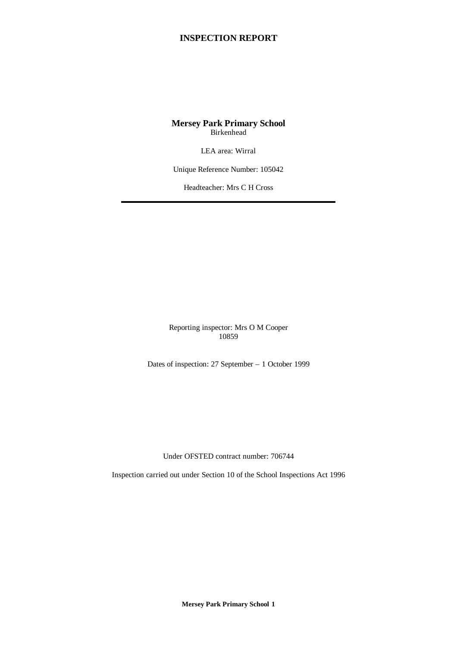# **INSPECTION REPORT**

## **Mersey Park Primary School** Birkenhead

LEA area: Wirral

Unique Reference Number: 105042

Headteacher: Mrs C H Cross

Reporting inspector: Mrs O M Cooper 10859

Dates of inspection: 27 September – 1 October 1999

Under OFSTED contract number: 706744

Inspection carried out under Section 10 of the School Inspections Act 1996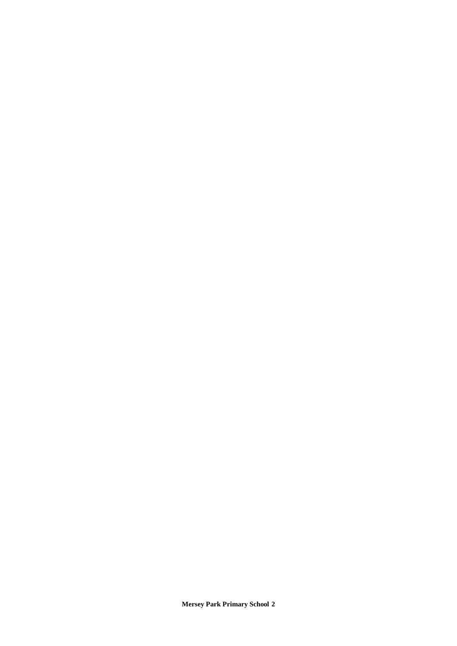**Mersey Park Primary School 2**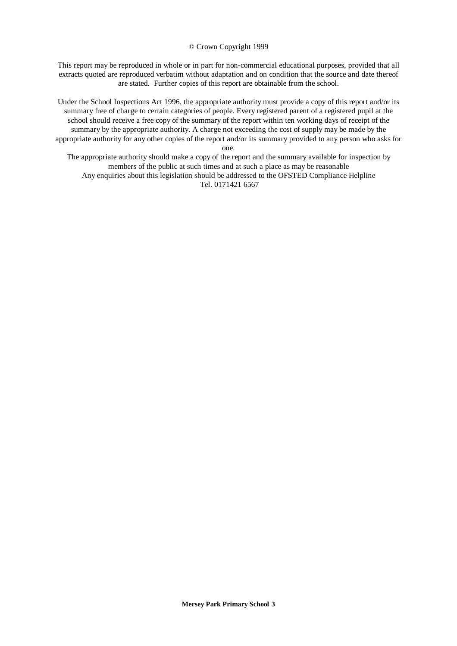## © Crown Copyright 1999

This report may be reproduced in whole or in part for non-commercial educational purposes, provided that all extracts quoted are reproduced verbatim without adaptation and on condition that the source and date thereof are stated. Further copies of this report are obtainable from the school.

Under the School Inspections Act 1996, the appropriate authority must provide a copy of this report and/or its summary free of charge to certain categories of people. Every registered parent of a registered pupil at the school should receive a free copy of the summary of the report within ten working days of receipt of the summary by the appropriate authority. A charge not exceeding the cost of supply may be made by the appropriate authority for any other copies of the report and/or its summary provided to any person who asks for one.

The appropriate authority should make a copy of the report and the summary available for inspection by members of the public at such times and at such a place as may be reasonable Any enquiries about this legislation should be addressed to the OFSTED Compliance Helpline Tel. 0171421 6567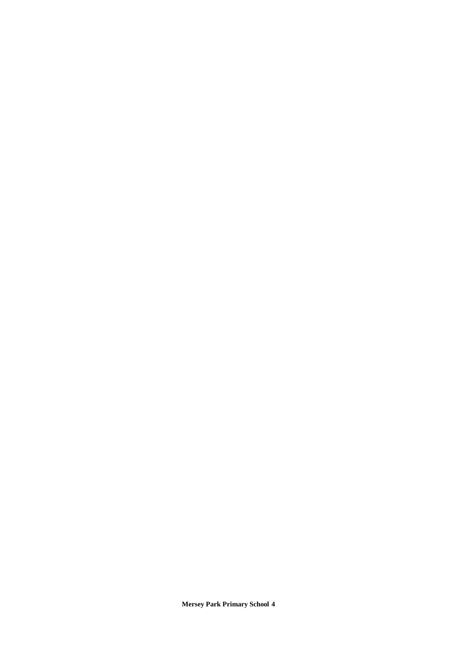**Mersey Park Primary School 4**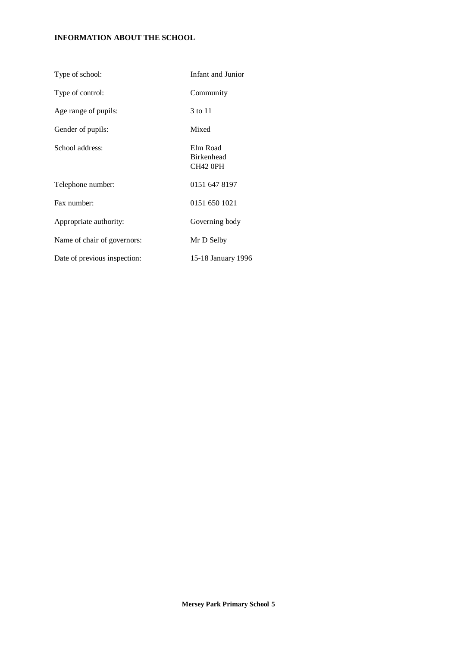## **INFORMATION ABOUT THE SCHOOL**

| Type of school:              | Infant and Junior                         |
|------------------------------|-------------------------------------------|
| Type of control:             | Community                                 |
| Age range of pupils:         | 3 to 11                                   |
| Gender of pupils:            | Mixed                                     |
| School address:              | Elm Road<br><b>Birkenhead</b><br>CH42 OPH |
| Telephone number:            | 0151 647 8197                             |
| Fax number:                  | 0151 650 1021                             |
| Appropriate authority:       | Governing body                            |
| Name of chair of governors:  | Mr D Selby                                |
| Date of previous inspection: | 15-18 January 1996                        |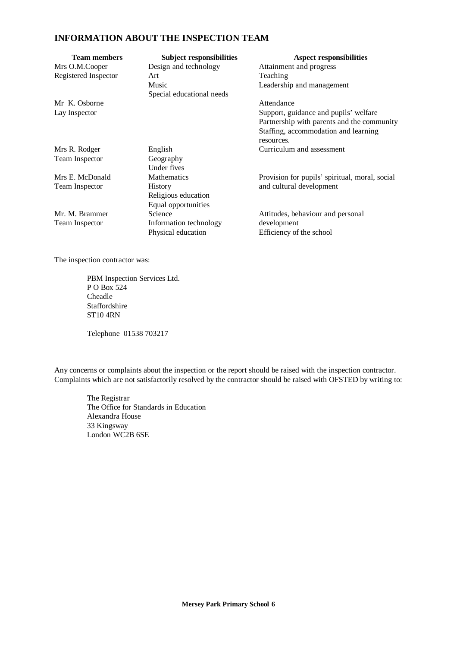# **INFORMATION ABOUT THE INSPECTION TEAM**

| <b>Team members</b>   | <b>Subject responsibilities</b> | <b>Aspect responsibilities</b>                 |
|-----------------------|---------------------------------|------------------------------------------------|
| Mrs O.M.Cooper        | Design and technology           | Attainment and progress                        |
| Registered Inspector  | Art                             | Teaching                                       |
|                       | Music                           | Leadership and management                      |
|                       | Special educational needs       |                                                |
| Mr K. Osborne         |                                 | Attendance                                     |
| Lay Inspector         |                                 | Support, guidance and pupils' welfare          |
|                       |                                 | Partnership with parents and the community     |
|                       |                                 | Staffing, accommodation and learning           |
|                       |                                 | resources.                                     |
| Mrs R. Rodger         | English                         | Curriculum and assessment                      |
| Team Inspector        | Geography                       |                                                |
|                       | Under fives                     |                                                |
| Mrs E. McDonald       | <b>Mathematics</b>              | Provision for pupils' spiritual, moral, social |
| <b>Team Inspector</b> | <b>History</b>                  | and cultural development                       |
|                       | Religious education             |                                                |
|                       | Equal opportunities             |                                                |
| Mr. M. Brammer        | Science                         | Attitudes, behaviour and personal              |
| Team Inspector        | Information technology          | development                                    |
|                       | Physical education              | Efficiency of the school                       |
|                       |                                 |                                                |

The inspection contractor was:

PBM Inspection Services Ltd. P O Box 524 Cheadle Staffordshire ST10 4RN

Telephone 01538 703217

Any concerns or complaints about the inspection or the report should be raised with the inspection contractor. Complaints which are not satisfactorily resolved by the contractor should be raised with OFSTED by writing to:

The Registrar The Office for Standards in Education Alexandra House 33 Kingsway London WC2B 6SE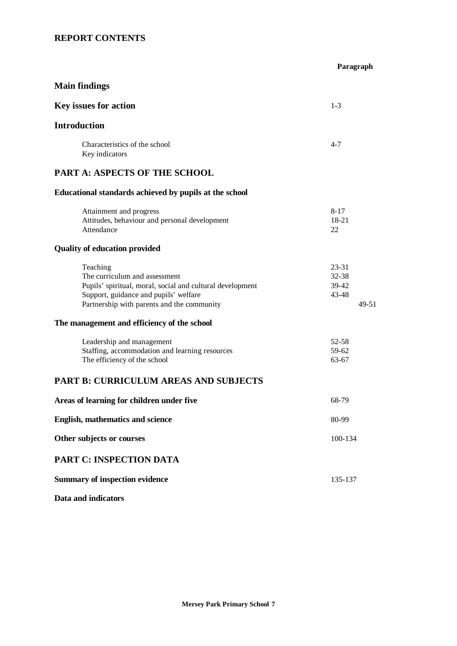# **REPORT CONTENTS**

|                                                                                                                                                                                               | Paragraph                                     |
|-----------------------------------------------------------------------------------------------------------------------------------------------------------------------------------------------|-----------------------------------------------|
| <b>Main findings</b>                                                                                                                                                                          |                                               |
| <b>Key issues for action</b>                                                                                                                                                                  | $1 - 3$                                       |
| <b>Introduction</b>                                                                                                                                                                           |                                               |
| Characteristics of the school<br>Key indicators                                                                                                                                               | $4 - 7$                                       |
| PART A: ASPECTS OF THE SCHOOL                                                                                                                                                                 |                                               |
| Educational standards achieved by pupils at the school                                                                                                                                        |                                               |
| Attainment and progress<br>Attitudes, behaviour and personal development<br>Attendance                                                                                                        | $8 - 17$<br>18-21<br>22                       |
| <b>Quality of education provided</b>                                                                                                                                                          |                                               |
| Teaching<br>The curriculum and assessment<br>Pupils' spiritual, moral, social and cultural development<br>Support, guidance and pupils' welfare<br>Partnership with parents and the community | $23 - 31$<br>32-38<br>39-42<br>43-48<br>49-51 |
| The management and efficiency of the school                                                                                                                                                   |                                               |
| Leadership and management<br>Staffing, accommodation and learning resources<br>The efficiency of the school                                                                                   | 52-58<br>59-62<br>63-67                       |
| <b>PART B: CURRICULUM AREAS AND SUBJECTS</b>                                                                                                                                                  |                                               |
| Areas of learning for children under five                                                                                                                                                     | 68-79                                         |
| English, mathematics and science                                                                                                                                                              | 80-99                                         |
| Other subjects or courses                                                                                                                                                                     | 100-134                                       |
| <b>PART C: INSPECTION DATA</b>                                                                                                                                                                |                                               |
| <b>Summary of inspection evidence</b>                                                                                                                                                         | 135-137                                       |
| Data and indicators                                                                                                                                                                           |                                               |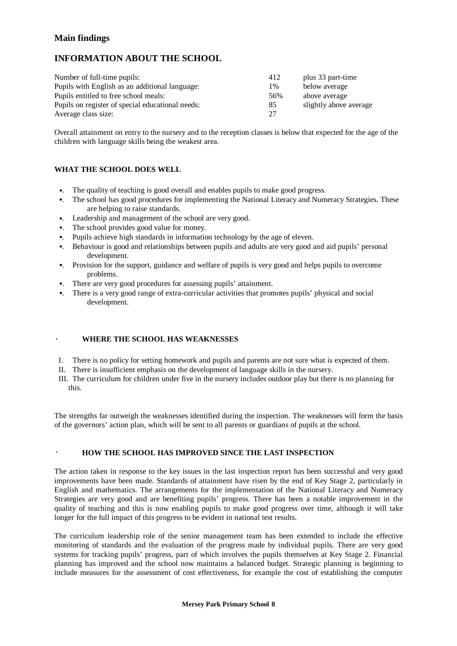## **Main findings**

# **INFORMATION ABOUT THE SCHOOL**

| Number of full-time pupils:                      | 412   | plus 33 part-time      |
|--------------------------------------------------|-------|------------------------|
| Pupils with English as an additional language:   | $1\%$ | below average          |
| Pupils entitled to free school meals:            | 56%   | above average          |
| Pupils on register of special educational needs: | 85    | slightly above average |
| Average class size:                              | 27    |                        |

Overall attainment on entry to the nursery and to the reception classes is below that expected for the age of the children with language skills being the weakest area.

## **WHAT THE SCHOOL DOES WELL**

- •. The quality of teaching is good overall and enables pupils to make good progress.
- •. The school has good procedures for implementing the National Literacy and Numeracy Strategies. These are helping to raise standards.
- •. Leadership and management of the school are very good.
- •. The school provides good value for money.
- •. Pupils achieve high standards in information technology by the age of eleven.
- •. Behaviour is good and relationships between pupils and adults are very good and aid pupils' personal development.
- •. Provision for the support, guidance and welfare of pupils is very good and helps pupils to overcome problems.
- •. There are very good procedures for assessing pupils' attainment.
- •. There is a very good range of extra-curricular activities that promotes pupils' physical and social development.

## · **WHERE THE SCHOOL HAS WEAKNESSES**

- I. There is no policy for setting homework and pupils and parents are not sure what is expected of them.
- II. There is insufficient emphasis on the development of language skills in the nursery.
- III. The curriculum for children under five in the nursery includes outdoor play but there is no planning for this.

The strengths far outweigh the weaknesses identified during the inspection. The weaknesses will form the basis of the governors' action plan, which will be sent to all parents or guardians of pupils at the school.

## · **HOW THE SCHOOL HAS IMPROVED SINCE THE LAST INSPECTION**

The action taken in response to the key issues in the last inspection report has been successful and very good improvements have been made. Standards of attainment have risen by the end of Key Stage 2, particularly in English and mathematics. The arrangements for the implementation of the National Literacy and Numeracy Strategies are very good and are benefiting pupils' progress. There has been a notable improvement in the quality of teaching and this is now enabling pupils to make good progress over time, although it will take longer for the full impact of this progress to be evident in national test results.

The curriculum leadership role of the senior management team has been extended to include the effective monitoring of standards and the evaluation of the progress made by individual pupils. There are very good systems for tracking pupils' progress, part of which involves the pupils themselves at Key Stage 2. Financial planning has improved and the school now maintains a balanced budget. Strategic planning is beginning to include measures for the assessment of cost effectiveness, for example the cost of establishing the computer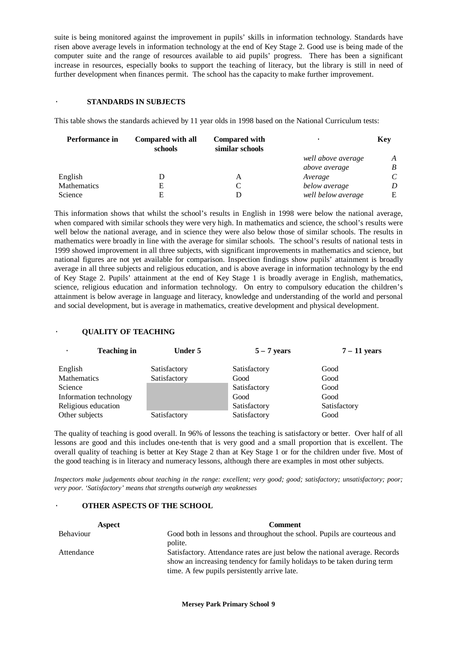suite is being monitored against the improvement in pupils' skills in information technology. Standards have risen above average levels in information technology at the end of Key Stage 2. Good use is being made of the computer suite and the range of resources available to aid pupils' progress. There has been a significant increase in resources, especially books to support the teaching of literacy, but the library is still in need of further development when finances permit. The school has the capacity to make further improvement.

#### · **STANDARDS IN SUBJECTS**

This table shows the standards achieved by 11 year olds in 1998 based on the National Curriculum tests:

| Performance in | <b>Compared with all</b><br>schools | <b>Compared with</b><br>similar schools | ٠                  | Key |
|----------------|-------------------------------------|-----------------------------------------|--------------------|-----|
|                |                                     |                                         | well above average | A   |
|                |                                     |                                         | above average      | B   |
| English        |                                     | A                                       | Average            |     |
| Mathematics    | Е                                   |                                         | below average      | D   |
| Science        | E                                   |                                         | well below average | E   |

This information shows that whilst the school's results in English in 1998 were below the national average, when compared with similar schools they were very high. In mathematics and science, the school's results were well below the national average, and in science they were also below those of similar schools. The results in mathematics were broadly in line with the average for similar schools. The school's results of national tests in 1999 showed improvement in all three subjects, with significant improvements in mathematics and science, but national figures are not yet available for comparison. Inspection findings show pupils' attainment is broadly average in all three subjects and religious education, and is above average in information technology by the end of Key Stage 2. Pupils' attainment at the end of Key Stage 1 is broadly average in English, mathematics, science, religious education and information technology. On entry to compulsory education the children's attainment is below average in language and literacy, knowledge and understanding of the world and personal and social development, but is average in mathematics, creative development and physical development.

## · **QUALITY OF TEACHING**

| <b>Teaching in</b><br>$\bullet$ | Under 5      | $5 - 7$ years | $7 - 11$ years |
|---------------------------------|--------------|---------------|----------------|
| English                         | Satisfactory | Satisfactory  | Good           |
| Mathematics                     | Satisfactory | Good          | Good           |
| Science                         |              | Satisfactory  | Good           |
| Information technology          |              | Good          | Good           |
| Religious education             |              | Satisfactory  | Satisfactory   |
| Other subjects                  | Satisfactory | Satisfactory  | Good           |

The quality of teaching is good overall. In 96% of lessons the teaching is satisfactory or better. Over half of all lessons are good and this includes one-tenth that is very good and a small proportion that is excellent. The overall quality of teaching is better at Key Stage 2 than at Key Stage 1 or for the children under five. Most of the good teaching is in literacy and numeracy lessons, although there are examples in most other subjects.

*Inspectors make judgements about teaching in the range: excellent; very good; good; satisfactory; unsatisfactory; poor; very poor. 'Satisfactory' means that strengths outweigh any weaknesses*

#### · **OTHER ASPECTS OF THE SCHOOL**

| <b>Aspect</b> | Comment                                                                     |
|---------------|-----------------------------------------------------------------------------|
| Behaviour     | Good both in lessons and throughout the school. Pupils are courteous and    |
|               | polite.                                                                     |
| Attendance    | Satisfactory. Attendance rates are just below the national average. Records |
|               | show an increasing tendency for family holidays to be taken during term     |
|               | time. A few pupils persistently arrive late.                                |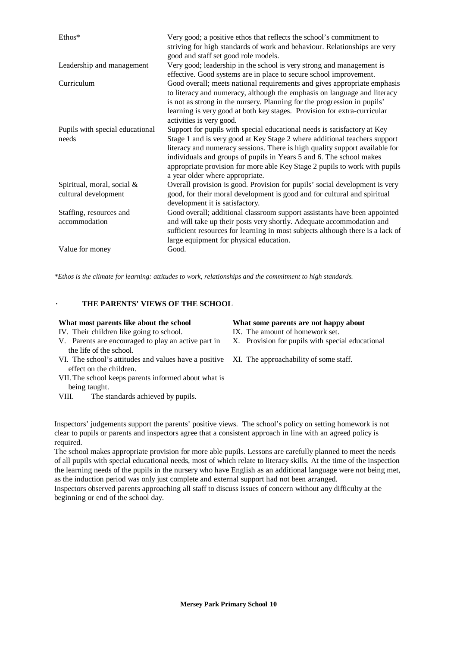| Ethos*                                             | Very good; a positive ethos that reflects the school's commitment to<br>striving for high standards of work and behaviour. Relationships are very                                                                                                                                                                                                                                                                            |
|----------------------------------------------------|------------------------------------------------------------------------------------------------------------------------------------------------------------------------------------------------------------------------------------------------------------------------------------------------------------------------------------------------------------------------------------------------------------------------------|
|                                                    | good and staff set good role models.                                                                                                                                                                                                                                                                                                                                                                                         |
| Leadership and management                          | Very good; leadership in the school is very strong and management is<br>effective. Good systems are in place to secure school improvement.                                                                                                                                                                                                                                                                                   |
| Curriculum                                         | Good overall; meets national requirements and gives appropriate emphasis<br>to literacy and numeracy, although the emphasis on language and literacy<br>is not as strong in the nursery. Planning for the progression in pupils'<br>learning is very good at both key stages. Provision for extra-curricular<br>activities is very good.                                                                                     |
| Pupils with special educational<br>needs           | Support for pupils with special educational needs is satisfactory at Key<br>Stage 1 and is very good at Key Stage 2 where additional teachers support<br>literacy and numeracy sessions. There is high quality support available for<br>individuals and groups of pupils in Years 5 and 6. The school makes<br>appropriate provision for more able Key Stage 2 pupils to work with pupils<br>a year older where appropriate. |
| Spiritual, moral, social &<br>cultural development | Overall provision is good. Provision for pupils' social development is very<br>good, for their moral development is good and for cultural and spiritual<br>development it is satisfactory.                                                                                                                                                                                                                                   |
| Staffing, resources and<br>accommodation           | Good overall; additional classroom support assistants have been appointed<br>and will take up their posts very shortly. Adequate accommodation and<br>sufficient resources for learning in most subjects although there is a lack of<br>large equipment for physical education.                                                                                                                                              |
| Value for money                                    | Good.                                                                                                                                                                                                                                                                                                                                                                                                                        |

*\*Ethos is the climate for learning: attitudes to work, relationships and the commitment to high standards.*

## · **THE PARENTS' VIEWS OF THE SCHOOL**

IV. Their children like going to school.

- V. Parents are encouraged to play an active part in the life of the school.
- VI. The school's attitudes and values have a positive effect on the children.
- VII.The school keeps parents informed about what is being taught.
- VIII. The standards achieved by pupils.

#### **What most parents like about the school What some parents are not happy about**

- IX. The amount of homework set.
- X. Provision for pupils with special educational
- XI. The approachability of some staff.

Inspectors' judgements support the parents' positive views. The school's policy on setting homework is not clear to pupils or parents and inspectors agree that a consistent approach in line with an agreed policy is required.

The school makes appropriate provision for more able pupils. Lessons are carefully planned to meet the needs of all pupils with special educational needs, most of which relate to literacy skills. At the time of the inspection the learning needs of the pupils in the nursery who have English as an additional language were not being met, as the induction period was only just complete and external support had not been arranged.

Inspectors observed parents approaching all staff to discuss issues of concern without any difficulty at the beginning or end of the school day.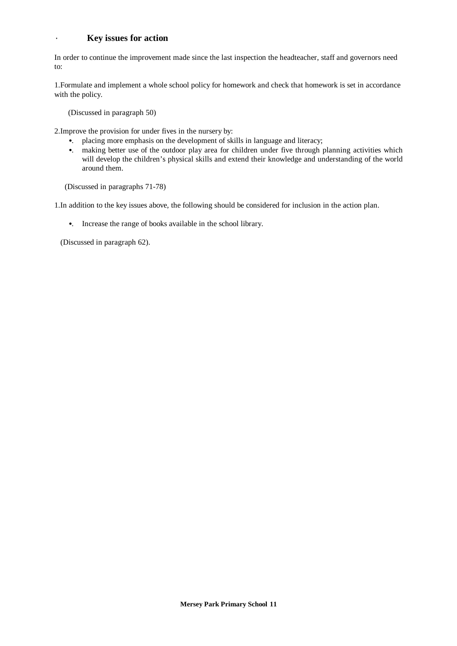## · **Key issues for action**

In order to continue the improvement made since the last inspection the headteacher, staff and governors need to:

1.Formulate and implement a whole school policy for homework and check that homework is set in accordance with the policy.

(Discussed in paragraph 50)

2.Improve the provision for under fives in the nursery by:

- •. placing more emphasis on the development of skills in language and literacy;
- •. making better use of the outdoor play area for children under five through planning activities which will develop the children's physical skills and extend their knowledge and understanding of the world around them.

(Discussed in paragraphs 71-78)

1.In addition to the key issues above, the following should be considered for inclusion in the action plan.

•. Increase the range of books available in the school library.

(Discussed in paragraph 62).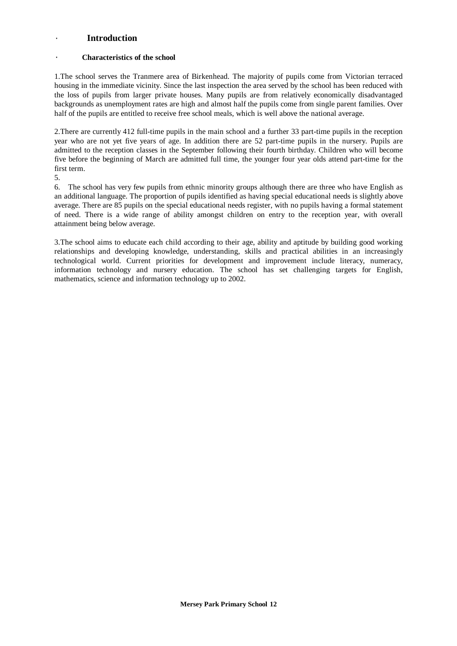## · **Introduction**

#### · **Characteristics of the school**

1.The school serves the Tranmere area of Birkenhead. The majority of pupils come from Victorian terraced housing in the immediate vicinity. Since the last inspection the area served by the school has been reduced with the loss of pupils from larger private houses. Many pupils are from relatively economically disadvantaged backgrounds as unemployment rates are high and almost half the pupils come from single parent families. Over half of the pupils are entitled to receive free school meals, which is well above the national average.

2.There are currently 412 full-time pupils in the main school and a further 33 part-time pupils in the reception year who are not yet five years of age. In addition there are 52 part-time pupils in the nursery. Pupils are admitted to the reception classes in the September following their fourth birthday. Children who will become five before the beginning of March are admitted full time, the younger four year olds attend part-time for the first term.

5.

6. The school has very few pupils from ethnic minority groups although there are three who have English as an additional language. The proportion of pupils identified as having special educational needs is slightly above average. There are 85 pupils on the special educational needs register, with no pupils having a formal statement of need. There is a wide range of ability amongst children on entry to the reception year, with overall attainment being below average.

3.The school aims to educate each child according to their age, ability and aptitude by building good working relationships and developing knowledge, understanding, skills and practical abilities in an increasingly technological world. Current priorities for development and improvement include literacy, numeracy, information technology and nursery education. The school has set challenging targets for English, mathematics, science and information technology up to 2002.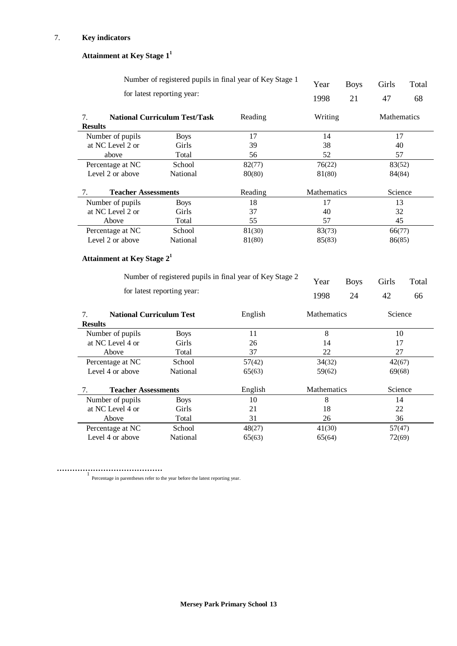# 7. **Key indicators**

# **Attainment at Key Stage 1<sup>1</sup>**

| Year<br>Girls<br><b>Boys</b><br>for latest reporting year:<br>21<br>47<br>1998<br>7.<br><b>National Curriculum Test/Task</b><br>Reading<br>Writing<br>Mathematics | Total<br>68 |
|-------------------------------------------------------------------------------------------------------------------------------------------------------------------|-------------|
|                                                                                                                                                                   |             |
|                                                                                                                                                                   |             |
|                                                                                                                                                                   |             |
| <b>Results</b>                                                                                                                                                    |             |
| Number of pupils<br>17<br><b>Boys</b><br>17<br>14                                                                                                                 |             |
| at NC Level 2 or<br>39<br>38<br>Girls<br>40                                                                                                                       |             |
| 52<br>57<br>56<br>above<br>Total                                                                                                                                  |             |
| 76(22)<br>Percentage at NC<br>School<br>82(77)<br>83(52)                                                                                                          |             |
| Level 2 or above<br>National<br>80(80)<br>81(80)<br>84(84)                                                                                                        |             |
|                                                                                                                                                                   |             |
| Mathematics<br>Science<br><b>Teacher Assessments</b><br>Reading<br>7.                                                                                             |             |
| Number of pupils<br>13<br>18<br>17<br><b>Boys</b>                                                                                                                 |             |
| at NC Level 2 or<br>37<br>40<br>32<br>Girls                                                                                                                       |             |
| 57<br>45<br>Above<br>55<br>Total                                                                                                                                  |             |
| 66(77)<br>Percentage at NC<br>School<br>81(30)<br>83(73)                                                                                                          |             |
| National<br>Level 2 or above<br>81(80)<br>85(83)<br>86(85)                                                                                                        |             |
| Attainment at Key Stage 2 <sup>1</sup><br>Number of registered pupils in final year of Key Stage 2<br>Year<br>Girls<br><b>Boys</b>                                | Total       |
| for latest reporting year:<br>1998<br>24<br>42                                                                                                                    | 66          |
| Science<br>7.<br><b>National Curriculum Test</b><br>English<br>Mathematics<br><b>Results</b>                                                                      |             |
| Number of pupils<br>8<br>11<br>10<br><b>Boys</b>                                                                                                                  |             |
| at NC Level 4 or<br>Girls<br>26<br>14<br>17                                                                                                                       |             |
| 37<br>22<br>27<br>Above<br>Total                                                                                                                                  |             |
| Percentage at NC<br>School<br>57(42)<br>34(32)<br>42(67)                                                                                                          |             |
| Level 4 or above<br>National<br>65(63)<br>59(62)<br>69(68)                                                                                                        |             |
|                                                                                                                                                                   |             |
| 7.<br><b>Teacher Assessments</b><br>English<br>Mathematics<br>Science                                                                                             |             |
|                                                                                                                                                                   |             |
| Number of pupils<br>8<br>10<br>14<br><b>Boys</b>                                                                                                                  |             |
| at NC Level 4 or<br>Girls<br>21<br>18<br>22                                                                                                                       |             |
| 31<br>36<br>26<br>Above<br>Total                                                                                                                                  |             |
| School<br>48(27)<br>Percentage at NC<br>41(30)<br>57(47)<br>Level 4 or above<br>National<br>65(63)<br>65(64)<br>72(69)                                            |             |

......................................... 1 Percentage in parentheses refer to the year before the latest reporting year.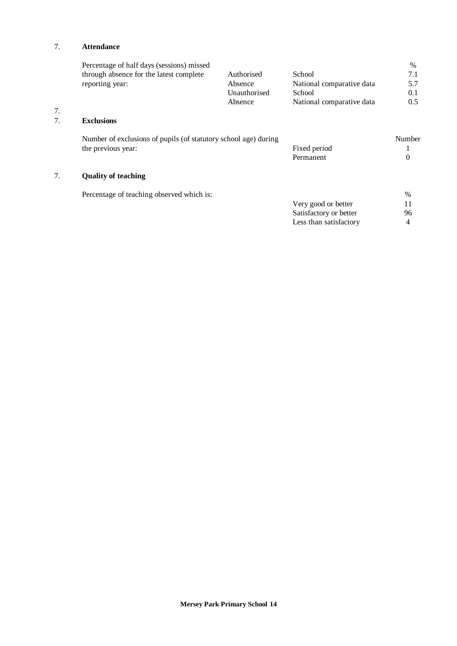# 7. **Attendance**

|          | Percentage of half days (sessions) missed                       |              |                           | $\%$     |
|----------|-----------------------------------------------------------------|--------------|---------------------------|----------|
|          | through absence for the latest complete                         | Authorised   | School                    | 7.1      |
|          | reporting year:                                                 | Absence      | National comparative data | 5.7      |
|          |                                                                 | Unauthorised | School                    | 0.1      |
|          |                                                                 | Absence      | National comparative data | 0.5      |
| 7.<br>7. | <b>Exclusions</b>                                               |              |                           |          |
|          |                                                                 |              |                           |          |
|          | Number of exclusions of pupils (of statutory school age) during |              | Number                    |          |
|          | the previous year:                                              |              | Fixed period              |          |
|          |                                                                 |              | Permanent                 | $\Omega$ |
| 7.       | <b>Quality of teaching</b>                                      |              |                           |          |
|          | Percentage of teaching observed which is:                       |              |                           | $\%$     |
|          |                                                                 |              | Very good or better       | 11       |
|          |                                                                 |              | Satisfactory or better    | 96       |
|          |                                                                 |              | Less than satisfactory    | 4        |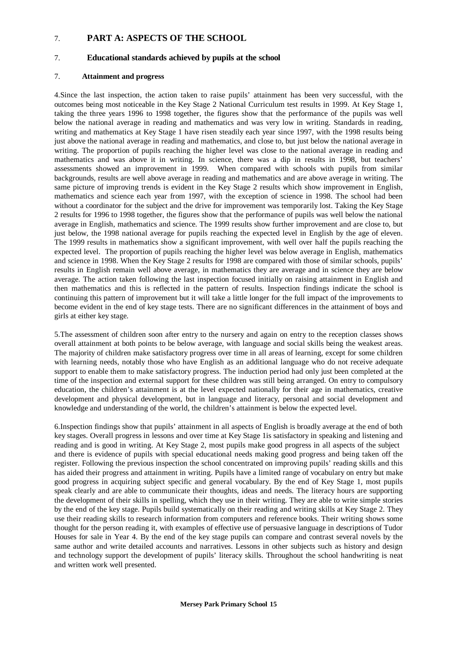## 7. **PART A: ASPECTS OF THE SCHOOL**

## 7. **Educational standards achieved by pupils at the school**

### 7. **Attainment and progress**

4.Since the last inspection, the action taken to raise pupils' attainment has been very successful, with the outcomes being most noticeable in the Key Stage 2 National Curriculum test results in 1999. At Key Stage 1, taking the three years 1996 to 1998 together, the figures show that the performance of the pupils was well below the national average in reading and mathematics and was very low in writing. Standards in reading, writing and mathematics at Key Stage 1 have risen steadily each year since 1997, with the 1998 results being just above the national average in reading and mathematics, and close to, but just below the national average in writing. The proportion of pupils reaching the higher level was close to the national average in reading and mathematics and was above it in writing. In science, there was a dip in results in 1998, but teachers' assessments showed an improvement in 1999. When compared with schools with pupils from similar backgrounds, results are well above average in reading and mathematics and are above average in writing. The same picture of improving trends is evident in the Key Stage 2 results which show improvement in English, mathematics and science each year from 1997, with the exception of science in 1998. The school had been without a coordinator for the subject and the drive for improvement was temporarily lost. Taking the Key Stage 2 results for 1996 to 1998 together, the figures show that the performance of pupils was well below the national average in English, mathematics and science. The 1999 results show further improvement and are close to, but just below, the 1998 national average for pupils reaching the expected level in English by the age of eleven. The 1999 results in mathematics show a significant improvement, with well over half the pupils reaching the expected level. The proportion of pupils reaching the higher level was below average in English, mathematics and science in 1998. When the Key Stage 2 results for 1998 are compared with those of similar schools, pupils' results in English remain well above average, in mathematics they are average and in science they are below average. The action taken following the last inspection focused initially on raising attainment in English and then mathematics and this is reflected in the pattern of results. Inspection findings indicate the school is continuing this pattern of improvement but it will take a little longer for the full impact of the improvements to become evident in the end of key stage tests. There are no significant differences in the attainment of boys and girls at either key stage.

5.The assessment of children soon after entry to the nursery and again on entry to the reception classes shows overall attainment at both points to be below average, with language and social skills being the weakest areas. The majority of children make satisfactory progress over time in all areas of learning, except for some children with learning needs, notably those who have English as an additional language who do not receive adequate support to enable them to make satisfactory progress. The induction period had only just been completed at the time of the inspection and external support for these children was still being arranged. On entry to compulsory education, the children's attainment is at the level expected nationally for their age in mathematics, creative development and physical development, but in language and literacy, personal and social development and knowledge and understanding of the world, the children's attainment is below the expected level.

6.Inspection findings show that pupils' attainment in all aspects of English is broadly average at the end of both key stages. Overall progress in lessons and over time at Key Stage 1is satisfactory in speaking and listening and reading and is good in writing. At Key Stage 2, most pupils make good progress in all aspects of the subject and there is evidence of pupils with special educational needs making good progress and being taken off the register. Following the previous inspection the school concentrated on improving pupils' reading skills and this has aided their progress and attainment in writing. Pupils have a limited range of vocabulary on entry but make good progress in acquiring subject specific and general vocabulary. By the end of Key Stage 1, most pupils speak clearly and are able to communicate their thoughts, ideas and needs. The literacy hours are supporting the development of their skills in spelling, which they use in their writing. They are able to write simple stories by the end of the key stage. Pupils build systematically on their reading and writing skills at Key Stage 2. They use their reading skills to research information from computers and reference books. Their writing shows some thought for the person reading it, with examples of effective use of persuasive language in descriptions of Tudor Houses for sale in Year 4. By the end of the key stage pupils can compare and contrast several novels by the same author and write detailed accounts and narratives. Lessons in other subjects such as history and design and technology support the development of pupils' literacy skills. Throughout the school handwriting is neat and written work well presented.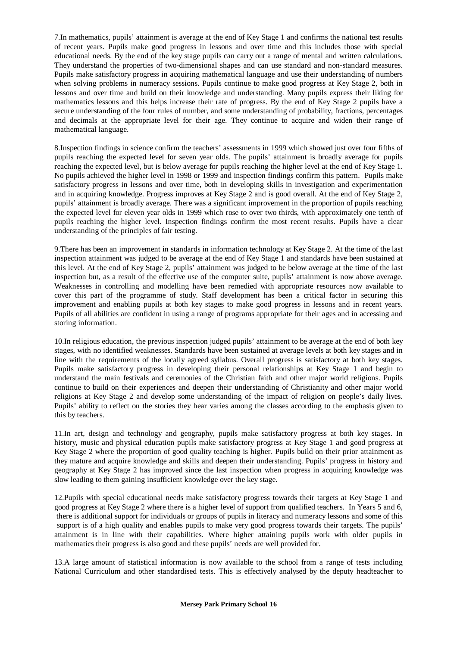7.In mathematics, pupils' attainment is average at the end of Key Stage 1 and confirms the national test results of recent years. Pupils make good progress in lessons and over time and this includes those with special educational needs. By the end of the key stage pupils can carry out a range of mental and written calculations. They understand the properties of two-dimensional shapes and can use standard and non-standard measures. Pupils make satisfactory progress in acquiring mathematical language and use their understanding of numbers when solving problems in numeracy sessions. Pupils continue to make good progress at Key Stage 2, both in lessons and over time and build on their knowledge and understanding. Many pupils express their liking for mathematics lessons and this helps increase their rate of progress. By the end of Key Stage 2 pupils have a secure understanding of the four rules of number, and some understanding of probability, fractions, percentages and decimals at the appropriate level for their age. They continue to acquire and widen their range of mathematical language.

8.Inspection findings in science confirm the teachers' assessments in 1999 which showed just over four fifths of pupils reaching the expected level for seven year olds. The pupils' attainment is broadly average for pupils reaching the expected level, but is below average for pupils reaching the higher level at the end of Key Stage 1. No pupils achieved the higher level in 1998 or 1999 and inspection findings confirm this pattern. Pupils make satisfactory progress in lessons and over time, both in developing skills in investigation and experimentation and in acquiring knowledge. Progress improves at Key Stage 2 and is good overall. At the end of Key Stage 2, pupils' attainment is broadly average. There was a significant improvement in the proportion of pupils reaching the expected level for eleven year olds in 1999 which rose to over two thirds, with approximately one tenth of pupils reaching the higher level. Inspection findings confirm the most recent results. Pupils have a clear understanding of the principles of fair testing.

9.There has been an improvement in standards in information technology at Key Stage 2. At the time of the last inspection attainment was judged to be average at the end of Key Stage 1 and standards have been sustained at this level. At the end of Key Stage 2, pupils' attainment was judged to be below average at the time of the last inspection but, as a result of the effective use of the computer suite, pupils' attainment is now above average. Weaknesses in controlling and modelling have been remedied with appropriate resources now available to cover this part of the programme of study. Staff development has been a critical factor in securing this improvement and enabling pupils at both key stages to make good progress in lessons and in recent years. Pupils of all abilities are confident in using a range of programs appropriate for their ages and in accessing and storing information.

10.In religious education, the previous inspection judged pupils' attainment to be average at the end of both key stages, with no identified weaknesses. Standards have been sustained at average levels at both key stages and in line with the requirements of the locally agreed syllabus. Overall progress is satisfactory at both key stages. Pupils make satisfactory progress in developing their personal relationships at Key Stage 1 and begin to understand the main festivals and ceremonies of the Christian faith and other major world religions. Pupils continue to build on their experiences and deepen their understanding of Christianity and other major world religions at Key Stage 2 and develop some understanding of the impact of religion on people's daily lives. Pupils' ability to reflect on the stories they hear varies among the classes according to the emphasis given to this by teachers.

11.In art, design and technology and geography, pupils make satisfactory progress at both key stages. In history, music and physical education pupils make satisfactory progress at Key Stage 1 and good progress at Key Stage 2 where the proportion of good quality teaching is higher. Pupils build on their prior attainment as they mature and acquire knowledge and skills and deepen their understanding. Pupils' progress in history and geography at Key Stage 2 has improved since the last inspection when progress in acquiring knowledge was slow leading to them gaining insufficient knowledge over the key stage.

12.Pupils with special educational needs make satisfactory progress towards their targets at Key Stage 1 and good progress at Key Stage 2 where there is a higher level of support from qualified teachers. In Years 5 and 6, there is additional support for individuals or groups of pupils in literacy and numeracy lessons and some of this support is of a high quality and enables pupils to make very good progress towards their targets. The pupils' attainment is in line with their capabilities. Where higher attaining pupils work with older pupils in mathematics their progress is also good and these pupils' needs are well provided for.

13.A large amount of statistical information is now available to the school from a range of tests including National Curriculum and other standardised tests. This is effectively analysed by the deputy headteacher to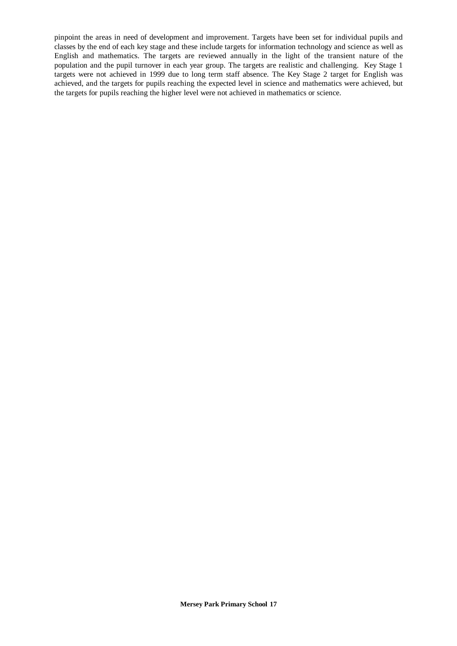pinpoint the areas in need of development and improvement. Targets have been set for individual pupils and classes by the end of each key stage and these include targets for information technology and science as well as English and mathematics. The targets are reviewed annually in the light of the transient nature of the population and the pupil turnover in each year group. The targets are realistic and challenging. Key Stage 1 targets were not achieved in 1999 due to long term staff absence. The Key Stage 2 target for English was achieved, and the targets for pupils reaching the expected level in science and mathematics were achieved, but the targets for pupils reaching the higher level were not achieved in mathematics or science.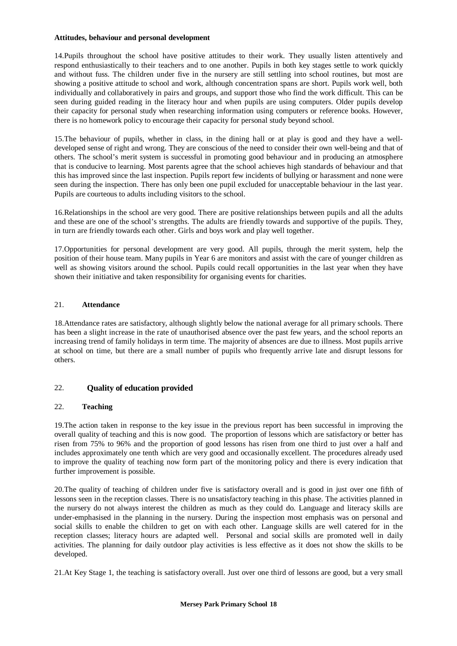#### **Attitudes, behaviour and personal development**

14.Pupils throughout the school have positive attitudes to their work. They usually listen attentively and respond enthusiastically to their teachers and to one another. Pupils in both key stages settle to work quickly and without fuss. The children under five in the nursery are still settling into school routines, but most are showing a positive attitude to school and work, although concentration spans are short. Pupils work well, both individually and collaboratively in pairs and groups, and support those who find the work difficult. This can be seen during guided reading in the literacy hour and when pupils are using computers. Older pupils develop their capacity for personal study when researching information using computers or reference books. However, there is no homework policy to encourage their capacity for personal study beyond school.

15.The behaviour of pupils, whether in class, in the dining hall or at play is good and they have a welldeveloped sense of right and wrong. They are conscious of the need to consider their own well-being and that of others. The school's merit system is successful in promoting good behaviour and in producing an atmosphere that is conducive to learning. Most parents agree that the school achieves high standards of behaviour and that this has improved since the last inspection. Pupils report few incidents of bullying or harassment and none were seen during the inspection. There has only been one pupil excluded for unacceptable behaviour in the last year. Pupils are courteous to adults including visitors to the school.

16.Relationships in the school are very good. There are positive relationships between pupils and all the adults and these are one of the school's strengths. The adults are friendly towards and supportive of the pupils. They, in turn are friendly towards each other. Girls and boys work and play well together.

17.Opportunities for personal development are very good. All pupils, through the merit system, help the position of their house team. Many pupils in Year 6 are monitors and assist with the care of younger children as well as showing visitors around the school. Pupils could recall opportunities in the last year when they have shown their initiative and taken responsibility for organising events for charities.

## 21. **Attendance**

18.Attendance rates are satisfactory, although slightly below the national average for all primary schools. There has been a slight increase in the rate of unauthorised absence over the past few years, and the school reports an increasing trend of family holidays in term time. The majority of absences are due to illness. Most pupils arrive at school on time, but there are a small number of pupils who frequently arrive late and disrupt lessons for others.

## 22. **Quality of education provided**

## 22. **Teaching**

19.The action taken in response to the key issue in the previous report has been successful in improving the overall quality of teaching and this is now good. The proportion of lessons which are satisfactory or better has risen from 75% to 96% and the proportion of good lessons has risen from one third to just over a half and includes approximately one tenth which are very good and occasionally excellent. The procedures already used to improve the quality of teaching now form part of the monitoring policy and there is every indication that further improvement is possible.

20.The quality of teaching of children under five is satisfactory overall and is good in just over one fifth of lessons seen in the reception classes. There is no unsatisfactory teaching in this phase. The activities planned in the nursery do not always interest the children as much as they could do. Language and literacy skills are under-emphasised in the planning in the nursery. During the inspection most emphasis was on personal and social skills to enable the children to get on with each other. Language skills are well catered for in the reception classes; literacy hours are adapted well. Personal and social skills are promoted well in daily activities. The planning for daily outdoor play activities is less effective as it does not show the skills to be developed.

21.At Key Stage 1, the teaching is satisfactory overall. Just over one third of lessons are good, but a very small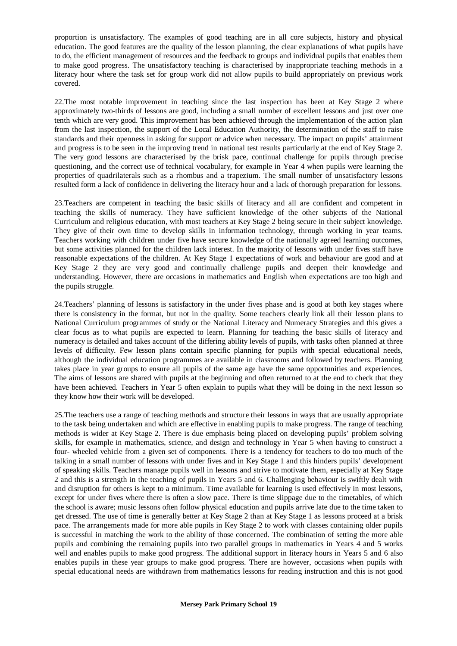proportion is unsatisfactory. The examples of good teaching are in all core subjects, history and physical education. The good features are the quality of the lesson planning, the clear explanations of what pupils have to do, the efficient management of resources and the feedback to groups and individual pupils that enables them to make good progress. The unsatisfactory teaching is characterised by inappropriate teaching methods in a literacy hour where the task set for group work did not allow pupils to build appropriately on previous work covered.

22.The most notable improvement in teaching since the last inspection has been at Key Stage 2 where approximately two-thirds of lessons are good, including a small number of excellent lessons and just over one tenth which are very good. This improvement has been achieved through the implementation of the action plan from the last inspection, the support of the Local Education Authority, the determination of the staff to raise standards and their openness in asking for support or advice when necessary. The impact on pupils' attainment and progress is to be seen in the improving trend in national test results particularly at the end of Key Stage 2. The very good lessons are characterised by the brisk pace, continual challenge for pupils through precise questioning, and the correct use of technical vocabulary, for example in Year 4 when pupils were learning the properties of quadrilaterals such as a rhombus and a trapezium. The small number of unsatisfactory lessons resulted form a lack of confidence in delivering the literacy hour and a lack of thorough preparation for lessons.

23.Teachers are competent in teaching the basic skills of literacy and all are confident and competent in teaching the skills of numeracy. They have sufficient knowledge of the other subjects of the National Curriculum and religious education, with most teachers at Key Stage 2 being secure in their subject knowledge. They give of their own time to develop skills in information technology, through working in year teams. Teachers working with children under five have secure knowledge of the nationally agreed learning outcomes, but some activities planned for the children lack interest. In the majority of lessons with under fives staff have reasonable expectations of the children. At Key Stage 1 expectations of work and behaviour are good and at Key Stage 2 they are very good and continually challenge pupils and deepen their knowledge and understanding. However, there are occasions in mathematics and English when expectations are too high and the pupils struggle.

24.Teachers' planning of lessons is satisfactory in the under fives phase and is good at both key stages where there is consistency in the format, but not in the quality. Some teachers clearly link all their lesson plans to National Curriculum programmes of study or the National Literacy and Numeracy Strategies and this gives a clear focus as to what pupils are expected to learn. Planning for teaching the basic skills of literacy and numeracy is detailed and takes account of the differing ability levels of pupils, with tasks often planned at three levels of difficulty. Few lesson plans contain specific planning for pupils with special educational needs, although the individual education programmes are available in classrooms and followed by teachers. Planning takes place in year groups to ensure all pupils of the same age have the same opportunities and experiences. The aims of lessons are shared with pupils at the beginning and often returned to at the end to check that they have been achieved. Teachers in Year 5 often explain to pupils what they will be doing in the next lesson so they know how their work will be developed.

25.The teachers use a range of teaching methods and structure their lessons in ways that are usually appropriate to the task being undertaken and which are effective in enabling pupils to make progress. The range of teaching methods is wider at Key Stage 2. There is due emphasis being placed on developing pupils' problem solving skills, for example in mathematics, science, and design and technology in Year 5 when having to construct a four- wheeled vehicle from a given set of components. There is a tendency for teachers to do too much of the talking in a small number of lessons with under fives and in Key Stage 1 and this hinders pupils' development of speaking skills. Teachers manage pupils well in lessons and strive to motivate them, especially at Key Stage 2 and this is a strength in the teaching of pupils in Years 5 and 6. Challenging behaviour is swiftly dealt with and disruption for others is kept to a minimum. Time available for learning is used effectively in most lessons, except for under fives where there is often a slow pace. There is time slippage due to the timetables, of which the school is aware; music lessons often follow physical education and pupils arrive late due to the time taken to get dressed. The use of time is generally better at Key Stage 2 than at Key Stage 1 as lessons proceed at a brisk pace. The arrangements made for more able pupils in Key Stage 2 to work with classes containing older pupils is successful in matching the work to the ability of those concerned. The combination of setting the more able pupils and combining the remaining pupils into two parallel groups in mathematics in Years 4 and 5 works well and enables pupils to make good progress. The additional support in literacy hours in Years 5 and 6 also enables pupils in these year groups to make good progress. There are however, occasions when pupils with special educational needs are withdrawn from mathematics lessons for reading instruction and this is not good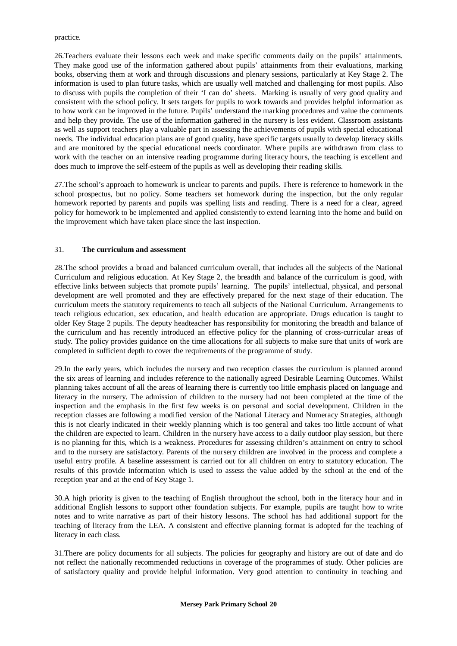#### practice.

26.Teachers evaluate their lessons each week and make specific comments daily on the pupils' attainments. They make good use of the information gathered about pupils' attainments from their evaluations, marking books, observing them at work and through discussions and plenary sessions, particularly at Key Stage 2. The information is used to plan future tasks, which are usually well matched and challenging for most pupils. Also to discuss with pupils the completion of their 'I can do' sheets. Marking is usually of very good quality and consistent with the school policy. It sets targets for pupils to work towards and provides helpful information as to how work can be improved in the future. Pupils' understand the marking procedures and value the comments and help they provide. The use of the information gathered in the nursery is less evident. Classroom assistants as well as support teachers play a valuable part in assessing the achievements of pupils with special educational needs. The individual education plans are of good quality, have specific targets usually to develop literacy skills and are monitored by the special educational needs coordinator. Where pupils are withdrawn from class to work with the teacher on an intensive reading programme during literacy hours, the teaching is excellent and does much to improve the self-esteem of the pupils as well as developing their reading skills.

27.The school's approach to homework is unclear to parents and pupils. There is reference to homework in the school prospectus, but no policy. Some teachers set homework during the inspection, but the only regular homework reported by parents and pupils was spelling lists and reading. There is a need for a clear, agreed policy for homework to be implemented and applied consistently to extend learning into the home and build on the improvement which have taken place since the last inspection.

## 31. **The curriculum and assessment**

28.The school provides a broad and balanced curriculum overall, that includes all the subjects of the National Curriculum and religious education. At Key Stage 2, the breadth and balance of the curriculum is good, with effective links between subjects that promote pupils' learning. The pupils' intellectual, physical, and personal development are well promoted and they are effectively prepared for the next stage of their education. The curriculum meets the statutory requirements to teach all subjects of the National Curriculum. Arrangements to teach religious education, sex education, and health education are appropriate. Drugs education is taught to older Key Stage 2 pupils. The deputy headteacher has responsibility for monitoring the breadth and balance of the curriculum and has recently introduced an effective policy for the planning of cross-curricular areas of study. The policy provides guidance on the time allocations for all subjects to make sure that units of work are completed in sufficient depth to cover the requirements of the programme of study.

29.In the early years, which includes the nursery and two reception classes the curriculum is planned around the six areas of learning and includes reference to the nationally agreed Desirable Learning Outcomes. Whilst planning takes account of all the areas of learning there is currently too little emphasis placed on language and literacy in the nursery. The admission of children to the nursery had not been completed at the time of the inspection and the emphasis in the first few weeks is on personal and social development. Children in the reception classes are following a modified version of the National Literacy and Numeracy Strategies, although this is not clearly indicated in their weekly planning which is too general and takes too little account of what the children are expected to learn. Children in the nursery have access to a daily outdoor play session, but there is no planning for this, which is a weakness. Procedures for assessing children's attainment on entry to school and to the nursery are satisfactory. Parents of the nursery children are involved in the process and complete a useful entry profile. A baseline assessment is carried out for all children on entry to statutory education. The results of this provide information which is used to assess the value added by the school at the end of the reception year and at the end of Key Stage 1.

30.A high priority is given to the teaching of English throughout the school, both in the literacy hour and in additional English lessons to support other foundation subjects. For example, pupils are taught how to write notes and to write narrative as part of their history lessons. The school has had additional support for the teaching of literacy from the LEA. A consistent and effective planning format is adopted for the teaching of literacy in each class.

31.There are policy documents for all subjects. The policies for geography and history are out of date and do not reflect the nationally recommended reductions in coverage of the programmes of study. Other policies are of satisfactory quality and provide helpful information. Very good attention to continuity in teaching and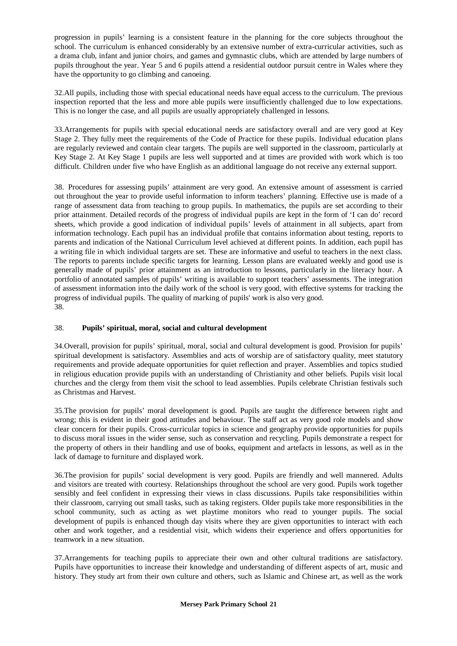progression in pupils' learning is a consistent feature in the planning for the core subjects throughout the school. The curriculum is enhanced considerably by an extensive number of extra-curricular activities, such as a drama club, infant and junior choirs, and games and gymnastic clubs, which are attended by large numbers of pupils throughout the year. Year 5 and 6 pupils attend a residential outdoor pursuit centre in Wales where they have the opportunity to go climbing and canoeing.

32.All pupils, including those with special educational needs have equal access to the curriculum. The previous inspection reported that the less and more able pupils were insufficiently challenged due to low expectations. This is no longer the case, and all pupils are usually appropriately challenged in lessons.

33.Arrangements for pupils with special educational needs are satisfactory overall and are very good at Key Stage 2. They fully meet the requirements of the Code of Practice for these pupils. Individual education plans are regularly reviewed and contain clear targets. The pupils are well supported in the classroom, particularly at Key Stage 2. At Key Stage 1 pupils are less well supported and at times are provided with work which is too difficult. Children under five who have English as an additional language do not receive any external support.

38. Procedures for assessing pupils' attainment are very good. An extensive amount of assessment is carried out throughout the year to provide useful information to inform teachers' planning. Effective use is made of a range of assessment data from teaching to group pupils. In mathematics, the pupils are set according to their prior attainment. Detailed records of the progress of individual pupils are kept in the form of 'I can do' record sheets, which provide a good indication of individual pupils' levels of attainment in all subjects, apart from information technology. Each pupil has an individual profile that contains information about testing, reports to parents and indication of the National Curriculum level achieved at different points. In addition, each pupil has a writing file in which individual targets are set. These are informative and useful to teachers in the next class. The reports to parents include specific targets for learning. Lesson plans are evaluated weekly and good use is generally made of pupils' prior attainment as an introduction to lessons, particularly in the literacy hour. A portfolio of annotated samples of pupils' writing is available to support teachers' assessments. The integration of assessment information into the daily work of the school is very good, with effective systems for tracking the progress of individual pupils. The quality of marking of pupils' work is also very good. 38.

## 38. **Pupils' spiritual, moral, social and cultural development**

34.Overall, provision for pupils' spiritual, moral, social and cultural development is good. Provision for pupils' spiritual development is satisfactory. Assemblies and acts of worship are of satisfactory quality, meet statutory requirements and provide adequate opportunities for quiet reflection and prayer. Assemblies and topics studied in religious education provide pupils with an understanding of Christianity and other beliefs. Pupils visit local churches and the clergy from them visit the school to lead assemblies. Pupils celebrate Christian festivals such as Christmas and Harvest.

35.The provision for pupils' moral development is good. Pupils are taught the difference between right and wrong; this is evident in their good attitudes and behaviour. The staff act as very good role models and show clear concern for their pupils. Cross-curricular topics in science and geography provide opportunities for pupils to discuss moral issues in the wider sense, such as conservation and recycling. Pupils demonstrate a respect for the property of others in their handling and use of books, equipment and artefacts in lessons, as well as in the lack of damage to furniture and displayed work.

36.The provision for pupils' social development is very good. Pupils are friendly and well mannered. Adults and visitors are treated with courtesy. Relationships throughout the school are very good. Pupils work together sensibly and feel confident in expressing their views in class discussions. Pupils take responsibilities within their classroom, carrying out small tasks, such as taking registers. Older pupils take more responsibilities in the school community, such as acting as wet playtime monitors who read to younger pupils. The social development of pupils is enhanced though day visits where they are given opportunities to interact with each other and work together, and a residential visit, which widens their experience and offers opportunities for teamwork in a new situation.

37.Arrangements for teaching pupils to appreciate their own and other cultural traditions are satisfactory. Pupils have opportunities to increase their knowledge and understanding of different aspects of art, music and history. They study art from their own culture and others, such as Islamic and Chinese art, as well as the work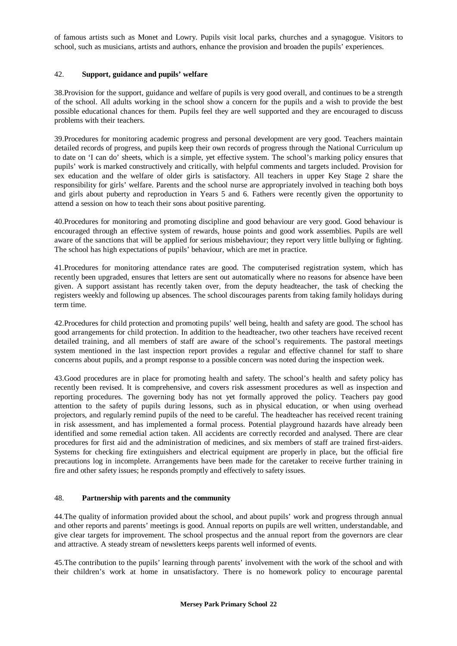of famous artists such as Monet and Lowry. Pupils visit local parks, churches and a synagogue. Visitors to school, such as musicians, artists and authors, enhance the provision and broaden the pupils' experiences.

## 42. **Support, guidance and pupils' welfare**

38.Provision for the support, guidance and welfare of pupils is very good overall, and continues to be a strength of the school. All adults working in the school show a concern for the pupils and a wish to provide the best possible educational chances for them. Pupils feel they are well supported and they are encouraged to discuss problems with their teachers.

39.Procedures for monitoring academic progress and personal development are very good. Teachers maintain detailed records of progress, and pupils keep their own records of progress through the National Curriculum up to date on 'I can do' sheets, which is a simple, yet effective system. The school's marking policy ensures that pupils' work is marked constructively and critically, with helpful comments and targets included. Provision for sex education and the welfare of older girls is satisfactory. All teachers in upper Key Stage 2 share the responsibility for girls' welfare. Parents and the school nurse are appropriately involved in teaching both boys and girls about puberty and reproduction in Years 5 and 6. Fathers were recently given the opportunity to attend a session on how to teach their sons about positive parenting.

40.Procedures for monitoring and promoting discipline and good behaviour are very good. Good behaviour is encouraged through an effective system of rewards, house points and good work assemblies. Pupils are well aware of the sanctions that will be applied for serious misbehaviour; they report very little bullying or fighting. The school has high expectations of pupils' behaviour, which are met in practice.

41.Procedures for monitoring attendance rates are good. The computerised registration system, which has recently been upgraded, ensures that letters are sent out automatically where no reasons for absence have been given. A support assistant has recently taken over, from the deputy headteacher, the task of checking the registers weekly and following up absences. The school discourages parents from taking family holidays during term time.

42.Procedures for child protection and promoting pupils' well being, health and safety are good. The school has good arrangements for child protection. In addition to the headteacher, two other teachers have received recent detailed training, and all members of staff are aware of the school's requirements. The pastoral meetings system mentioned in the last inspection report provides a regular and effective channel for staff to share concerns about pupils, and a prompt response to a possible concern was noted during the inspection week.

43.Good procedures are in place for promoting health and safety. The school's health and safety policy has recently been revised. It is comprehensive, and covers risk assessment procedures as well as inspection and reporting procedures. The governing body has not yet formally approved the policy. Teachers pay good attention to the safety of pupils during lessons, such as in physical education, or when using overhead projectors, and regularly remind pupils of the need to be careful. The headteacher has received recent training in risk assessment, and has implemented a formal process. Potential playground hazards have already been identified and some remedial action taken. All accidents are correctly recorded and analysed. There are clear procedures for first aid and the administration of medicines, and six members of staff are trained first-aiders. Systems for checking fire extinguishers and electrical equipment are properly in place, but the official fire precautions log in incomplete. Arrangements have been made for the caretaker to receive further training in fire and other safety issues; he responds promptly and effectively to safety issues.

## 48. **Partnership with parents and the community**

44.The quality of information provided about the school, and about pupils' work and progress through annual and other reports and parents' meetings is good. Annual reports on pupils are well written, understandable, and give clear targets for improvement. The school prospectus and the annual report from the governors are clear and attractive. A steady stream of newsletters keeps parents well informed of events.

45.The contribution to the pupils' learning through parents' involvement with the work of the school and with their children's work at home in unsatisfactory. There is no homework policy to encourage parental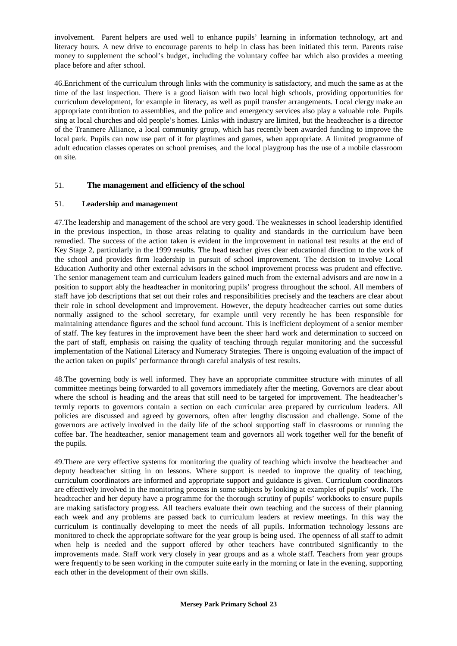involvement. Parent helpers are used well to enhance pupils' learning in information technology, art and literacy hours. A new drive to encourage parents to help in class has been initiated this term. Parents raise money to supplement the school's budget, including the voluntary coffee bar which also provides a meeting place before and after school.

46.Enrichment of the curriculum through links with the community is satisfactory, and much the same as at the time of the last inspection. There is a good liaison with two local high schools, providing opportunities for curriculum development, for example in literacy, as well as pupil transfer arrangements. Local clergy make an appropriate contribution to assemblies, and the police and emergency services also play a valuable role. Pupils sing at local churches and old people's homes. Links with industry are limited, but the headteacher is a director of the Tranmere Alliance, a local community group, which has recently been awarded funding to improve the local park. Pupils can now use part of it for playtimes and games, when appropriate. A limited programme of adult education classes operates on school premises, and the local playgroup has the use of a mobile classroom on site.

## 51. **The management and efficiency of the school**

## 51. **Leadership and management**

47.The leadership and management of the school are very good. The weaknesses in school leadership identified in the previous inspection, in those areas relating to quality and standards in the curriculum have been remedied. The success of the action taken is evident in the improvement in national test results at the end of Key Stage 2, particularly in the 1999 results. The head teacher gives clear educational direction to the work of the school and provides firm leadership in pursuit of school improvement. The decision to involve Local Education Authority and other external advisors in the school improvement process was prudent and effective. The senior management team and curriculum leaders gained much from the external advisors and are now in a position to support ably the headteacher in monitoring pupils' progress throughout the school. All members of staff have job descriptions that set out their roles and responsibilities precisely and the teachers are clear about their role in school development and improvement. However, the deputy headteacher carries out some duties normally assigned to the school secretary, for example until very recently he has been responsible for maintaining attendance figures and the school fund account. This is inefficient deployment of a senior member of staff. The key features in the improvement have been the sheer hard work and determination to succeed on the part of staff, emphasis on raising the quality of teaching through regular monitoring and the successful implementation of the National Literacy and Numeracy Strategies. There is ongoing evaluation of the impact of the action taken on pupils' performance through careful analysis of test results.

48.The governing body is well informed. They have an appropriate committee structure with minutes of all committee meetings being forwarded to all governors immediately after the meeting. Governors are clear about where the school is heading and the areas that still need to be targeted for improvement. The headteacher's termly reports to governors contain a section on each curricular area prepared by curriculum leaders. All policies are discussed and agreed by governors, often after lengthy discussion and challenge. Some of the governors are actively involved in the daily life of the school supporting staff in classrooms or running the coffee bar. The headteacher, senior management team and governors all work together well for the benefit of the pupils.

49.There are very effective systems for monitoring the quality of teaching which involve the headteacher and deputy headteacher sitting in on lessons. Where support is needed to improve the quality of teaching, curriculum coordinators are informed and appropriate support and guidance is given. Curriculum coordinators are effectively involved in the monitoring process in some subjects by looking at examples of pupils' work. The headteacher and her deputy have a programme for the thorough scrutiny of pupils' workbooks to ensure pupils are making satisfactory progress. All teachers evaluate their own teaching and the success of their planning each week and any problems are passed back to curriculum leaders at review meetings. In this way the curriculum is continually developing to meet the needs of all pupils. Information technology lessons are monitored to check the appropriate software for the year group is being used. The openness of all staff to admit when help is needed and the support offered by other teachers have contributed significantly to the improvements made. Staff work very closely in year groups and as a whole staff. Teachers from year groups were frequently to be seen working in the computer suite early in the morning or late in the evening, supporting each other in the development of their own skills.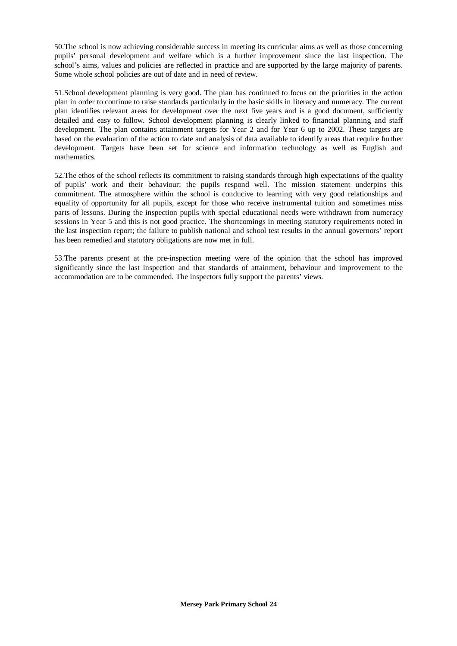50.The school is now achieving considerable success in meeting its curricular aims as well as those concerning pupils' personal development and welfare which is a further improvement since the last inspection. The school's aims, values and policies are reflected in practice and are supported by the large majority of parents. Some whole school policies are out of date and in need of review.

51.School development planning is very good. The plan has continued to focus on the priorities in the action plan in order to continue to raise standards particularly in the basic skills in literacy and numeracy. The current plan identifies relevant areas for development over the next five years and is a good document, sufficiently detailed and easy to follow. School development planning is clearly linked to financial planning and staff development. The plan contains attainment targets for Year 2 and for Year 6 up to 2002. These targets are based on the evaluation of the action to date and analysis of data available to identify areas that require further development. Targets have been set for science and information technology as well as English and mathematics.

52.The ethos of the school reflects its commitment to raising standards through high expectations of the quality of pupils' work and their behaviour; the pupils respond well. The mission statement underpins this commitment. The atmosphere within the school is conducive to learning with very good relationships and equality of opportunity for all pupils, except for those who receive instrumental tuition and sometimes miss parts of lessons. During the inspection pupils with special educational needs were withdrawn from numeracy sessions in Year 5 and this is not good practice. The shortcomings in meeting statutory requirements noted in the last inspection report; the failure to publish national and school test results in the annual governors' report has been remedied and statutory obligations are now met in full.

53.The parents present at the pre-inspection meeting were of the opinion that the school has improved significantly since the last inspection and that standards of attainment, behaviour and improvement to the accommodation are to be commended. The inspectors fully support the parents' views.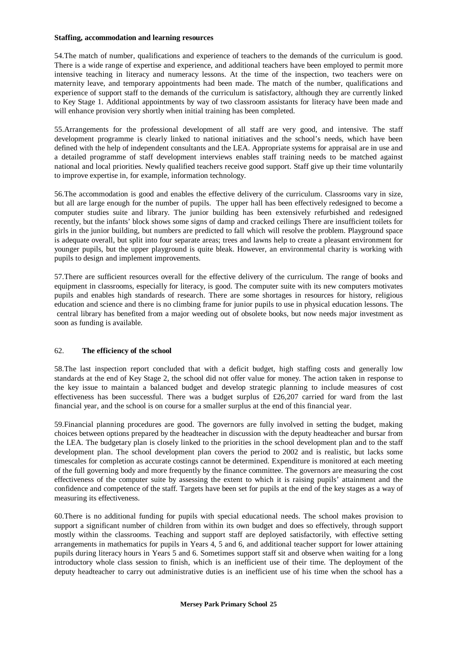#### **Staffing, accommodation and learning resources**

54.The match of number, qualifications and experience of teachers to the demands of the curriculum is good. There is a wide range of expertise and experience, and additional teachers have been employed to permit more intensive teaching in literacy and numeracy lessons. At the time of the inspection, two teachers were on maternity leave, and temporary appointments had been made. The match of the number, qualifications and experience of support staff to the demands of the curriculum is satisfactory, although they are currently linked to Key Stage 1. Additional appointments by way of two classroom assistants for literacy have been made and will enhance provision very shortly when initial training has been completed.

55.Arrangements for the professional development of all staff are very good, and intensive. The staff development programme is clearly linked to national initiatives and the school's needs, which have been defined with the help of independent consultants and the LEA. Appropriate systems for appraisal are in use and a detailed programme of staff development interviews enables staff training needs to be matched against national and local priorities. Newly qualified teachers receive good support. Staff give up their time voluntarily to improve expertise in, for example, information technology.

56.The accommodation is good and enables the effective delivery of the curriculum. Classrooms vary in size, but all are large enough for the number of pupils. The upper hall has been effectively redesigned to become a computer studies suite and library. The junior building has been extensively refurbished and redesigned recently, but the infants' block shows some signs of damp and cracked ceilings There are insufficient toilets for girls in the junior building, but numbers are predicted to fall which will resolve the problem. Playground space is adequate overall, but split into four separate areas; trees and lawns help to create a pleasant environment for younger pupils, but the upper playground is quite bleak. However, an environmental charity is working with pupils to design and implement improvements.

57.There are sufficient resources overall for the effective delivery of the curriculum. The range of books and equipment in classrooms, especially for literacy, is good. The computer suite with its new computers motivates pupils and enables high standards of research. There are some shortages in resources for history, religious education and science and there is no climbing frame for junior pupils to use in physical education lessons. The central library has benefited from a major weeding out of obsolete books, but now needs major investment as soon as funding is available.

## 62. **The efficiency of the school**

58.The last inspection report concluded that with a deficit budget, high staffing costs and generally low standards at the end of Key Stage 2, the school did not offer value for money. The action taken in response to the key issue to maintain a balanced budget and develop strategic planning to include measures of cost effectiveness has been successful. There was a budget surplus of £26,207 carried for ward from the last financial year, and the school is on course for a smaller surplus at the end of this financial year.

59.Financial planning procedures are good. The governors are fully involved in setting the budget, making choices between options prepared by the headteacher in discussion with the deputy headteacher and bursar from the LEA. The budgetary plan is closely linked to the priorities in the school development plan and to the staff development plan. The school development plan covers the period to 2002 and is realistic, but lacks some timescales for completion as accurate costings cannot be determined. Expenditure is monitored at each meeting of the full governing body and more frequently by the finance committee. The governors are measuring the cost effectiveness of the computer suite by assessing the extent to which it is raising pupils' attainment and the confidence and competence of the staff. Targets have been set for pupils at the end of the key stages as a way of measuring its effectiveness.

60.There is no additional funding for pupils with special educational needs. The school makes provision to support a significant number of children from within its own budget and does so effectively, through support mostly within the classrooms. Teaching and support staff are deployed satisfactorily, with effective setting arrangements in mathematics for pupils in Years 4, 5 and 6, and additional teacher support for lower attaining pupils during literacy hours in Years 5 and 6. Sometimes support staff sit and observe when waiting for a long introductory whole class session to finish, which is an inefficient use of their time. The deployment of the deputy headteacher to carry out administrative duties is an inefficient use of his time when the school has a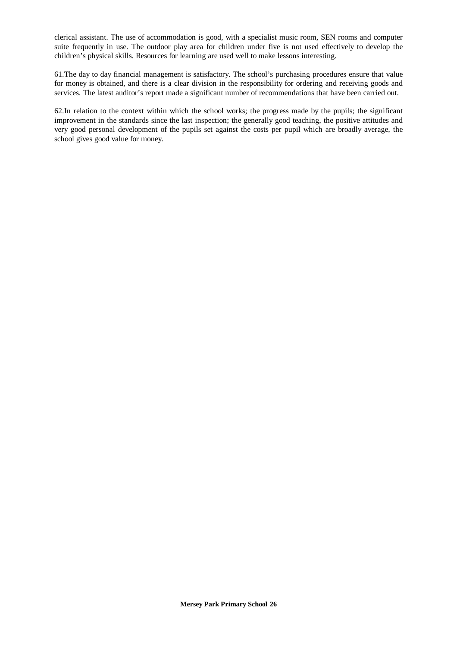clerical assistant. The use of accommodation is good, with a specialist music room, SEN rooms and computer suite frequently in use. The outdoor play area for children under five is not used effectively to develop the children's physical skills. Resources for learning are used well to make lessons interesting.

61.The day to day financial management is satisfactory. The school's purchasing procedures ensure that value for money is obtained, and there is a clear division in the responsibility for ordering and receiving goods and services. The latest auditor's report made a significant number of recommendations that have been carried out.

62.In relation to the context within which the school works; the progress made by the pupils; the significant improvement in the standards since the last inspection; the generally good teaching, the positive attitudes and very good personal development of the pupils set against the costs per pupil which are broadly average, the school gives good value for money.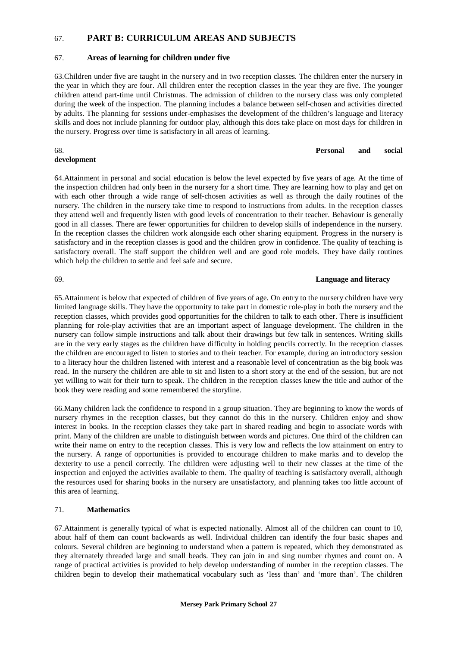## 67. **PART B: CURRICULUM AREAS AND SUBJECTS**

## 67. **Areas of learning for children under five**

63.Children under five are taught in the nursery and in two reception classes. The children enter the nursery in the year in which they are four. All children enter the reception classes in the year they are five. The younger children attend part-time until Christmas. The admission of children to the nursery class was only completed during the week of the inspection. The planning includes a balance between self-chosen and activities directed by adults. The planning for sessions under-emphasises the development of the children's language and literacy skills and does not include planning for outdoor play, although this does take place on most days for children in the nursery. Progress over time is satisfactory in all areas of learning.

#### 68. **Personal and social**

## **development**

64.Attainment in personal and social education is below the level expected by five years of age. At the time of the inspection children had only been in the nursery for a short time. They are learning how to play and get on with each other through a wide range of self-chosen activities as well as through the daily routines of the nursery. The children in the nursery take time to respond to instructions from adults. In the reception classes they attend well and frequently listen with good levels of concentration to their teacher. Behaviour is generally good in all classes. There are fewer opportunities for children to develop skills of independence in the nursery. In the reception classes the children work alongside each other sharing equipment. Progress in the nursery is satisfactory and in the reception classes is good and the children grow in confidence. The quality of teaching is satisfactory overall. The staff support the children well and are good role models. They have daily routines which help the children to settle and feel safe and secure.

#### 69. **Language and literacy**

65.Attainment is below that expected of children of five years of age. On entry to the nursery children have very limited language skills. They have the opportunity to take part in domestic role-play in both the nursery and the reception classes, which provides good opportunities for the children to talk to each other. There is insufficient planning for role-play activities that are an important aspect of language development. The children in the nursery can follow simple instructions and talk about their drawings but few talk in sentences. Writing skills are in the very early stages as the children have difficulty in holding pencils correctly. In the reception classes the children are encouraged to listen to stories and to their teacher. For example, during an introductory session to a literacy hour the children listened with interest and a reasonable level of concentration as the big book was read. In the nursery the children are able to sit and listen to a short story at the end of the session, but are not yet willing to wait for their turn to speak. The children in the reception classes knew the title and author of the book they were reading and some remembered the storyline.

66.Many children lack the confidence to respond in a group situation. They are beginning to know the words of nursery rhymes in the reception classes, but they cannot do this in the nursery. Children enjoy and show interest in books. In the reception classes they take part in shared reading and begin to associate words with print. Many of the children are unable to distinguish between words and pictures. One third of the children can write their name on entry to the reception classes. This is very low and reflects the low attainment on entry to the nursery. A range of opportunities is provided to encourage children to make marks and to develop the dexterity to use a pencil correctly. The children were adjusting well to their new classes at the time of the inspection and enjoyed the activities available to them. The quality of teaching is satisfactory overall, although the resources used for sharing books in the nursery are unsatisfactory, and planning takes too little account of this area of learning.

## 71. **Mathematics**

67.Attainment is generally typical of what is expected nationally. Almost all of the children can count to 10, about half of them can count backwards as well. Individual children can identify the four basic shapes and colours. Several children are beginning to understand when a pattern is repeated, which they demonstrated as they alternately threaded large and small beads. They can join in and sing number rhymes and count on. A range of practical activities is provided to help develop understanding of number in the reception classes. The children begin to develop their mathematical vocabulary such as 'less than' and 'more than'. The children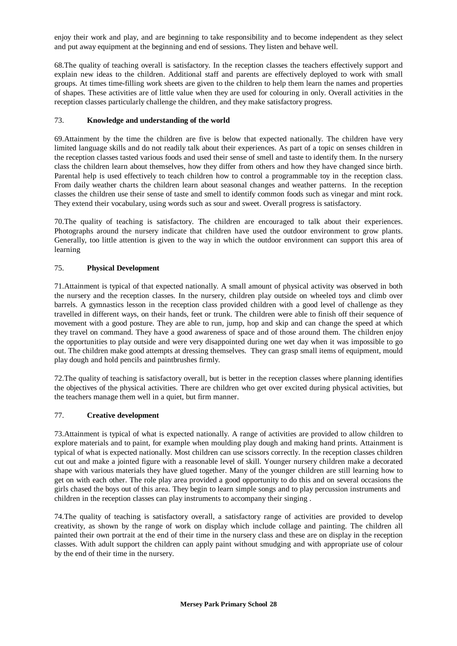enjoy their work and play, and are beginning to take responsibility and to become independent as they select and put away equipment at the beginning and end of sessions. They listen and behave well.

68.The quality of teaching overall is satisfactory. In the reception classes the teachers effectively support and explain new ideas to the children. Additional staff and parents are effectively deployed to work with small groups. At times time-filling work sheets are given to the children to help them learn the names and properties of shapes. These activities are of little value when they are used for colouring in only. Overall activities in the reception classes particularly challenge the children, and they make satisfactory progress.

## 73. **Knowledge and understanding of the world**

69.Attainment by the time the children are five is below that expected nationally. The children have very limited language skills and do not readily talk about their experiences. As part of a topic on senses children in the reception classes tasted various foods and used their sense of smell and taste to identify them. In the nursery class the children learn about themselves, how they differ from others and how they have changed since birth. Parental help is used effectively to teach children how to control a programmable toy in the reception class. From daily weather charts the children learn about seasonal changes and weather patterns. In the reception classes the children use their sense of taste and smell to identify common foods such as vinegar and mint rock. They extend their vocabulary, using words such as sour and sweet. Overall progress is satisfactory.

70.The quality of teaching is satisfactory. The children are encouraged to talk about their experiences. Photographs around the nursery indicate that children have used the outdoor environment to grow plants. Generally, too little attention is given to the way in which the outdoor environment can support this area of learning

## 75. **Physical Development**

71.Attainment is typical of that expected nationally. A small amount of physical activity was observed in both the nursery and the reception classes. In the nursery, children play outside on wheeled toys and climb over barrels. A gymnastics lesson in the reception class provided children with a good level of challenge as they travelled in different ways, on their hands, feet or trunk. The children were able to finish off their sequence of movement with a good posture. They are able to run, jump, hop and skip and can change the speed at which they travel on command. They have a good awareness of space and of those around them. The children enjoy the opportunities to play outside and were very disappointed during one wet day when it was impossible to go out. The children make good attempts at dressing themselves. They can grasp small items of equipment, mould play dough and hold pencils and paintbrushes firmly.

72.The quality of teaching is satisfactory overall, but is better in the reception classes where planning identifies the objectives of the physical activities. There are children who get over excited during physical activities, but the teachers manage them well in a quiet, but firm manner.

## 77. **Creative development**

73.Attainment is typical of what is expected nationally. A range of activities are provided to allow children to explore materials and to paint, for example when moulding play dough and making hand prints. Attainment is typical of what is expected nationally. Most children can use scissors correctly. In the reception classes children cut out and make a jointed figure with a reasonable level of skill. Younger nursery children make a decorated shape with various materials they have glued together. Many of the younger children are still learning how to get on with each other. The role play area provided a good opportunity to do this and on several occasions the girls chased the boys out of this area. They begin to learn simple songs and to play percussion instruments and children in the reception classes can play instruments to accompany their singing .

74.The quality of teaching is satisfactory overall, a satisfactory range of activities are provided to develop creativity, as shown by the range of work on display which include collage and painting. The children all painted their own portrait at the end of their time in the nursery class and these are on display in the reception classes. With adult support the children can apply paint without smudging and with appropriate use of colour by the end of their time in the nursery.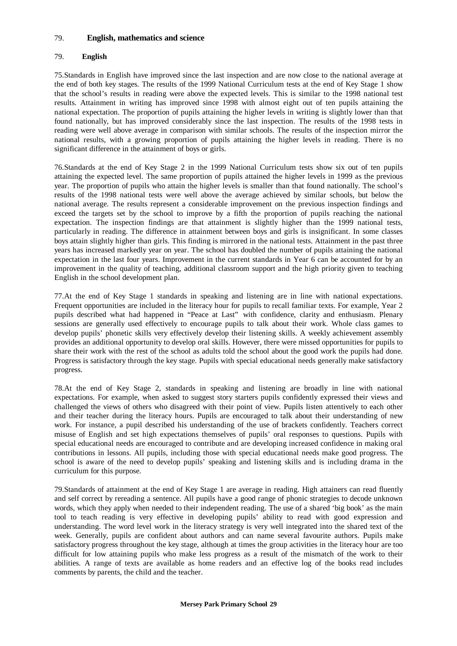## 79. **English, mathematics and science**

## 79. **English**

75.Standards in English have improved since the last inspection and are now close to the national average at the end of both key stages. The results of the 1999 National Curriculum tests at the end of Key Stage 1 show that the school's results in reading were above the expected levels. This is similar to the 1998 national test results. Attainment in writing has improved since 1998 with almost eight out of ten pupils attaining the national expectation. The proportion of pupils attaining the higher levels in writing is slightly lower than that found nationally, but has improved considerably since the last inspection. The results of the 1998 tests in reading were well above average in comparison with similar schools. The results of the inspection mirror the national results, with a growing proportion of pupils attaining the higher levels in reading. There is no significant difference in the attainment of boys or girls.

76.Standards at the end of Key Stage 2 in the 1999 National Curriculum tests show six out of ten pupils attaining the expected level. The same proportion of pupils attained the higher levels in 1999 as the previous year. The proportion of pupils who attain the higher levels is smaller than that found nationally. The school's results of the 1998 national tests were well above the average achieved by similar schools, but below the national average. The results represent a considerable improvement on the previous inspection findings and exceed the targets set by the school to improve by a fifth the proportion of pupils reaching the national expectation. The inspection findings are that attainment is slightly higher than the 1999 national tests, particularly in reading. The difference in attainment between boys and girls is insignificant. In some classes boys attain slightly higher than girls. This finding is mirrored in the national tests. Attainment in the past three years has increased markedly year on year. The school has doubled the number of pupils attaining the national expectation in the last four years. Improvement in the current standards in Year 6 can be accounted for by an improvement in the quality of teaching, additional classroom support and the high priority given to teaching English in the school development plan.

77.At the end of Key Stage 1 standards in speaking and listening are in line with national expectations. Frequent opportunities are included in the literacy hour for pupils to recall familiar texts. For example, Year 2 pupils described what had happened in "Peace at Last" with confidence, clarity and enthusiasm. Plenary sessions are generally used effectively to encourage pupils to talk about their work. Whole class games to develop pupils' phonetic skills very effectively develop their listening skills. A weekly achievement assembly provides an additional opportunity to develop oral skills. However, there were missed opportunities for pupils to share their work with the rest of the school as adults told the school about the good work the pupils had done. Progress is satisfactory through the key stage. Pupils with special educational needs generally make satisfactory progress.

78.At the end of Key Stage 2, standards in speaking and listening are broadly in line with national expectations. For example, when asked to suggest story starters pupils confidently expressed their views and challenged the views of others who disagreed with their point of view. Pupils listen attentively to each other and their teacher during the literacy hours. Pupils are encouraged to talk about their understanding of new work. For instance, a pupil described his understanding of the use of brackets confidently. Teachers correct misuse of English and set high expectations themselves of pupils' oral responses to questions. Pupils with special educational needs are encouraged to contribute and are developing increased confidence in making oral contributions in lessons. All pupils, including those with special educational needs make good progress. The school is aware of the need to develop pupils' speaking and listening skills and is including drama in the curriculum for this purpose.

79.Standards of attainment at the end of Key Stage 1 are average in reading. High attainers can read fluently and self correct by rereading a sentence. All pupils have a good range of phonic strategies to decode unknown words, which they apply when needed to their independent reading. The use of a shared 'big book' as the main tool to teach reading is very effective in developing pupils' ability to read with good expression and understanding. The word level work in the literacy strategy is very well integrated into the shared text of the week. Generally, pupils are confident about authors and can name several favourite authors. Pupils make satisfactory progress throughout the key stage, although at times the group activities in the literacy hour are too difficult for low attaining pupils who make less progress as a result of the mismatch of the work to their abilities. A range of texts are available as home readers and an effective log of the books read includes comments by parents, the child and the teacher.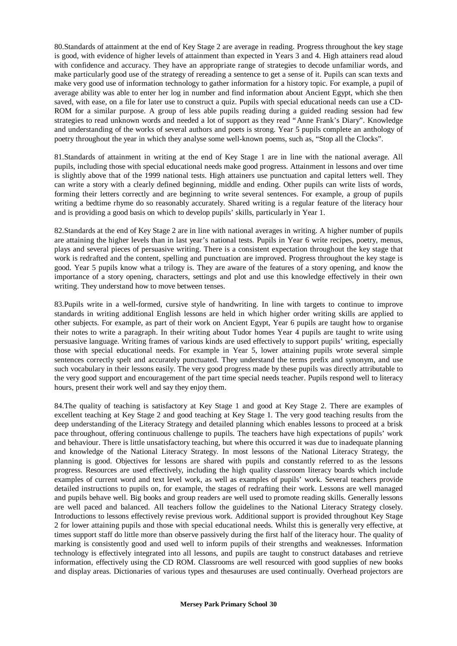80.Standards of attainment at the end of Key Stage 2 are average in reading. Progress throughout the key stage is good, with evidence of higher levels of attainment than expected in Years 3 and 4. High attainers read aloud with confidence and accuracy. They have an appropriate range of strategies to decode unfamiliar words, and make particularly good use of the strategy of rereading a sentence to get a sense of it. Pupils can scan texts and make very good use of information technology to gather information for a history topic. For example, a pupil of average ability was able to enter her log in number and find information about Ancient Egypt, which she then saved, with ease, on a file for later use to construct a quiz. Pupils with special educational needs can use a CD-ROM for a similar purpose. A group of less able pupils reading during a guided reading session had few strategies to read unknown words and needed a lot of support as they read "Anne Frank's Diary". Knowledge and understanding of the works of several authors and poets is strong. Year 5 pupils complete an anthology of poetry throughout the year in which they analyse some well-known poems, such as, "Stop all the Clocks".

81.Standards of attainment in writing at the end of Key Stage 1 are in line with the national average. All pupils, including those with special educational needs make good progress. Attainment in lessons and over time is slightly above that of the 1999 national tests. High attainers use punctuation and capital letters well. They can write a story with a clearly defined beginning, middle and ending. Other pupils can write lists of words, forming their letters correctly and are beginning to write several sentences. For example, a group of pupils writing a bedtime rhyme do so reasonably accurately. Shared writing is a regular feature of the literacy hour and is providing a good basis on which to develop pupils' skills, particularly in Year 1.

82.Standards at the end of Key Stage 2 are in line with national averages in writing. A higher number of pupils are attaining the higher levels than in last year's national tests. Pupils in Year 6 write recipes, poetry, menus, plays and several pieces of persuasive writing. There is a consistent expectation throughout the key stage that work is redrafted and the content, spelling and punctuation are improved. Progress throughout the key stage is good. Year 5 pupils know what a trilogy is. They are aware of the features of a story opening, and know the importance of a story opening, characters, settings and plot and use this knowledge effectively in their own writing. They understand how to move between tenses.

83.Pupils write in a well-formed, cursive style of handwriting. In line with targets to continue to improve standards in writing additional English lessons are held in which higher order writing skills are applied to other subjects. For example, as part of their work on Ancient Egypt, Year 6 pupils are taught how to organise their notes to write a paragraph. In their writing about Tudor homes Year 4 pupils are taught to write using persuasive language. Writing frames of various kinds are used effectively to support pupils' writing, especially those with special educational needs. For example in Year 5, lower attaining pupils wrote several simple sentences correctly spelt and accurately punctuated. They understand the terms prefix and synonym, and use such vocabulary in their lessons easily. The very good progress made by these pupils was directly attributable to the very good support and encouragement of the part time special needs teacher. Pupils respond well to literacy hours, present their work well and say they enjoy them.

84.The quality of teaching is satisfactory at Key Stage 1 and good at Key Stage 2. There are examples of excellent teaching at Key Stage 2 and good teaching at Key Stage 1. The very good teaching results from the deep understanding of the Literacy Strategy and detailed planning which enables lessons to proceed at a brisk pace throughout, offering continuous challenge to pupils. The teachers have high expectations of pupils' work and behaviour. There is little unsatisfactory teaching, but where this occurred it was due to inadequate planning and knowledge of the National Literacy Strategy. In most lessons of the National Literacy Strategy, the planning is good. Objectives for lessons are shared with pupils and constantly referred to as the lessons progress. Resources are used effectively, including the high quality classroom literacy boards which include examples of current word and text level work, as well as examples of pupils' work. Several teachers provide detailed instructions to pupils on, for example, the stages of redrafting their work. Lessons are well managed and pupils behave well. Big books and group readers are well used to promote reading skills. Generally lessons are well paced and balanced. All teachers follow the guidelines to the National Literacy Strategy closely. Introductions to lessons effectively revise previous work. Additional support is provided throughout Key Stage 2 for lower attaining pupils and those with special educational needs. Whilst this is generally very effective, at times support staff do little more than observe passively during the first half of the literacy hour. The quality of marking is consistently good and used well to inform pupils of their strengths and weaknesses. Information technology is effectively integrated into all lessons, and pupils are taught to construct databases and retrieve information, effectively using the CD ROM. Classrooms are well resourced with good supplies of new books and display areas. Dictionaries of various types and thesauruses are used continually. Overhead projectors are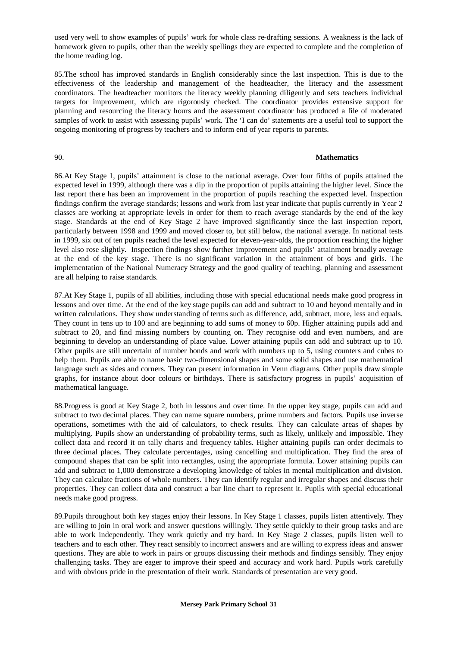used very well to show examples of pupils' work for whole class re-drafting sessions. A weakness is the lack of homework given to pupils, other than the weekly spellings they are expected to complete and the completion of the home reading log.

85.The school has improved standards in English considerably since the last inspection. This is due to the effectiveness of the leadership and management of the headteacher, the literacy and the assessment coordinators. The headteacher monitors the literacy weekly planning diligently and sets teachers individual targets for improvement, which are rigorously checked. The coordinator provides extensive support for planning and resourcing the literacy hours and the assessment coordinator has produced a file of moderated samples of work to assist with assessing pupils' work. The 'I can do' statements are a useful tool to support the ongoing monitoring of progress by teachers and to inform end of year reports to parents.

### 90. **Mathematics**

86.At Key Stage 1, pupils' attainment is close to the national average. Over four fifths of pupils attained the expected level in 1999, although there was a dip in the proportion of pupils attaining the higher level. Since the last report there has been an improvement in the proportion of pupils reaching the expected level. Inspection findings confirm the average standards; lessons and work from last year indicate that pupils currently in Year 2 classes are working at appropriate levels in order for them to reach average standards by the end of the key stage. Standards at the end of Key Stage 2 have improved significantly since the last inspection report, particularly between 1998 and 1999 and moved closer to, but still below, the national average. In national tests in 1999, six out of ten pupils reached the level expected for eleven-year-olds, the proportion reaching the higher level also rose slightly. Inspection findings show further improvement and pupils' attainment broadly average at the end of the key stage. There is no significant variation in the attainment of boys and girls. The implementation of the National Numeracy Strategy and the good quality of teaching, planning and assessment are all helping to raise standards.

87.At Key Stage 1, pupils of all abilities, including those with special educational needs make good progress in lessons and over time. At the end of the key stage pupils can add and subtract to 10 and beyond mentally and in written calculations. They show understanding of terms such as difference, add, subtract, more, less and equals. They count in tens up to 100 and are beginning to add sums of money to 60p. Higher attaining pupils add and subtract to 20, and find missing numbers by counting on. They recognise odd and even numbers, and are beginning to develop an understanding of place value. Lower attaining pupils can add and subtract up to 10. Other pupils are still uncertain of number bonds and work with numbers up to 5, using counters and cubes to help them. Pupils are able to name basic two-dimensional shapes and some solid shapes and use mathematical language such as sides and corners. They can present information in Venn diagrams. Other pupils draw simple graphs, for instance about door colours or birthdays. There is satisfactory progress in pupils' acquisition of mathematical language.

88.Progress is good at Key Stage 2, both in lessons and over time. In the upper key stage, pupils can add and subtract to two decimal places. They can name square numbers, prime numbers and factors. Pupils use inverse operations, sometimes with the aid of calculators, to check results. They can calculate areas of shapes by multiplying. Pupils show an understanding of probability terms, such as likely, unlikely and impossible. They collect data and record it on tally charts and frequency tables. Higher attaining pupils can order decimals to three decimal places. They calculate percentages, using cancelling and multiplication. They find the area of compound shapes that can be split into rectangles, using the appropriate formula. Lower attaining pupils can add and subtract to 1,000 demonstrate a developing knowledge of tables in mental multiplication and division. They can calculate fractions of whole numbers. They can identify regular and irregular shapes and discuss their properties. They can collect data and construct a bar line chart to represent it. Pupils with special educational needs make good progress.

89.Pupils throughout both key stages enjoy their lessons. In Key Stage 1 classes, pupils listen attentively. They are willing to join in oral work and answer questions willingly. They settle quickly to their group tasks and are able to work independently. They work quietly and try hard. In Key Stage 2 classes, pupils listen well to teachers and to each other. They react sensibly to incorrect answers and are willing to express ideas and answer questions. They are able to work in pairs or groups discussing their methods and findings sensibly. They enjoy challenging tasks. They are eager to improve their speed and accuracy and work hard. Pupils work carefully and with obvious pride in the presentation of their work. Standards of presentation are very good.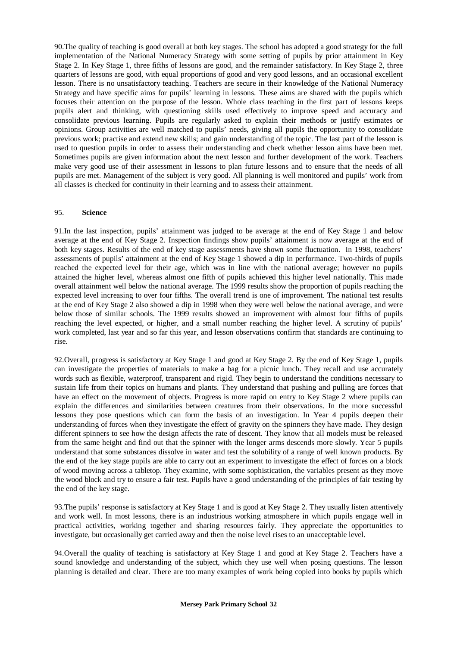90.The quality of teaching is good overall at both key stages. The school has adopted a good strategy for the full implementation of the National Numeracy Strategy with some setting of pupils by prior attainment in Key Stage 2. In Key Stage 1, three fifths of lessons are good, and the remainder satisfactory. In Key Stage 2, three quarters of lessons are good, with equal proportions of good and very good lessons, and an occasional excellent lesson. There is no unsatisfactory teaching. Teachers are secure in their knowledge of the National Numeracy Strategy and have specific aims for pupils' learning in lessons. These aims are shared with the pupils which focuses their attention on the purpose of the lesson. Whole class teaching in the first part of lessons keeps pupils alert and thinking, with questioning skills used effectively to improve speed and accuracy and consolidate previous learning. Pupils are regularly asked to explain their methods or justify estimates or opinions. Group activities are well matched to pupils' needs, giving all pupils the opportunity to consolidate previous work; practise and extend new skills; and gain understanding of the topic. The last part of the lesson is used to question pupils in order to assess their understanding and check whether lesson aims have been met. Sometimes pupils are given information about the next lesson and further development of the work. Teachers make very good use of their assessment in lessons to plan future lessons and to ensure that the needs of all pupils are met. Management of the subject is very good. All planning is well monitored and pupils' work from all classes is checked for continuity in their learning and to assess their attainment.

#### 95. **Science**

91.In the last inspection, pupils' attainment was judged to be average at the end of Key Stage 1 and below average at the end of Key Stage 2. Inspection findings show pupils' attainment is now average at the end of both key stages. Results of the end of key stage assessments have shown some fluctuation. In 1998, teachers' assessments of pupils' attainment at the end of Key Stage 1 showed a dip in performance. Two-thirds of pupils reached the expected level for their age, which was in line with the national average; however no pupils attained the higher level, whereas almost one fifth of pupils achieved this higher level nationally. This made overall attainment well below the national average. The 1999 results show the proportion of pupils reaching the expected level increasing to over four fifths. The overall trend is one of improvement. The national test results at the end of Key Stage 2 also showed a dip in 1998 when they were well below the national average, and were below those of similar schools. The 1999 results showed an improvement with almost four fifths of pupils reaching the level expected, or higher, and a small number reaching the higher level. A scrutiny of pupils' work completed, last year and so far this year, and lesson observations confirm that standards are continuing to rise.

92.Overall, progress is satisfactory at Key Stage 1 and good at Key Stage 2. By the end of Key Stage 1, pupils can investigate the properties of materials to make a bag for a picnic lunch. They recall and use accurately words such as flexible, waterproof, transparent and rigid. They begin to understand the conditions necessary to sustain life from their topics on humans and plants. They understand that pushing and pulling are forces that have an effect on the movement of objects. Progress is more rapid on entry to Key Stage 2 where pupils can explain the differences and similarities between creatures from their observations. In the more successful lessons they pose questions which can form the basis of an investigation. In Year 4 pupils deepen their understanding of forces when they investigate the effect of gravity on the spinners they have made. They design different spinners to see how the design affects the rate of descent. They know that all models must be released from the same height and find out that the spinner with the longer arms descends more slowly. Year 5 pupils understand that some substances dissolve in water and test the solubility of a range of well known products. By the end of the key stage pupils are able to carry out an experiment to investigate the effect of forces on a block of wood moving across a tabletop. They examine, with some sophistication, the variables present as they move the wood block and try to ensure a fair test. Pupils have a good understanding of the principles of fair testing by the end of the key stage.

93.The pupils' response is satisfactory at Key Stage 1 and is good at Key Stage 2. They usually listen attentively and work well. In most lessons, there is an industrious working atmosphere in which pupils engage well in practical activities, working together and sharing resources fairly. They appreciate the opportunities to investigate, but occasionally get carried away and then the noise level rises to an unacceptable level.

94.Overall the quality of teaching is satisfactory at Key Stage 1 and good at Key Stage 2. Teachers have a sound knowledge and understanding of the subject, which they use well when posing questions. The lesson planning is detailed and clear. There are too many examples of work being copied into books by pupils which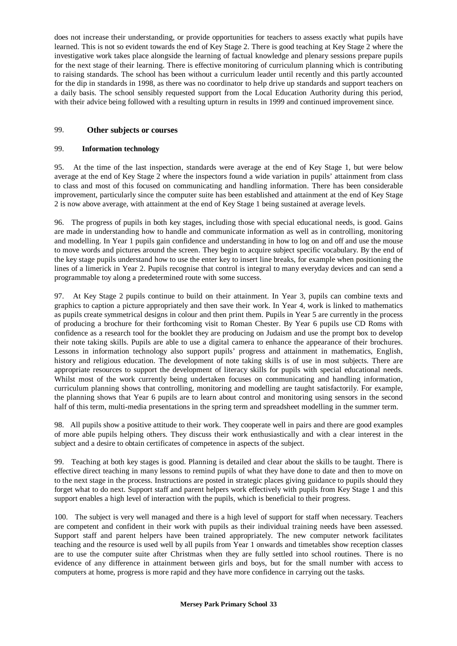does not increase their understanding, or provide opportunities for teachers to assess exactly what pupils have learned. This is not so evident towards the end of Key Stage 2. There is good teaching at Key Stage 2 where the investigative work takes place alongside the learning of factual knowledge and plenary sessions prepare pupils for the next stage of their learning. There is effective monitoring of curriculum planning which is contributing to raising standards. The school has been without a curriculum leader until recently and this partly accounted for the dip in standards in 1998, as there was no coordinator to help drive up standards and support teachers on a daily basis. The school sensibly requested support from the Local Education Authority during this period, with their advice being followed with a resulting upturn in results in 1999 and continued improvement since.

## 99. **Other subjects or courses**

## 99. **Information technology**

95. At the time of the last inspection, standards were average at the end of Key Stage 1, but were below average at the end of Key Stage 2 where the inspectors found a wide variation in pupils' attainment from class to class and most of this focused on communicating and handling information. There has been considerable improvement, particularly since the computer suite has been established and attainment at the end of Key Stage 2 is now above average, with attainment at the end of Key Stage 1 being sustained at average levels.

96. The progress of pupils in both key stages, including those with special educational needs, is good. Gains are made in understanding how to handle and communicate information as well as in controlling, monitoring and modelling. In Year 1 pupils gain confidence and understanding in how to log on and off and use the mouse to move words and pictures around the screen. They begin to acquire subject specific vocabulary. By the end of the key stage pupils understand how to use the enter key to insert line breaks, for example when positioning the lines of a limerick in Year 2. Pupils recognise that control is integral to many everyday devices and can send a programmable toy along a predetermined route with some success.

97. At Key Stage 2 pupils continue to build on their attainment. In Year 3, pupils can combine texts and graphics to caption a picture appropriately and then save their work. In Year 4, work is linked to mathematics as pupils create symmetrical designs in colour and then print them. Pupils in Year 5 are currently in the process of producing a brochure for their forthcoming visit to Roman Chester. By Year 6 pupils use CD Roms with confidence as a research tool for the booklet they are producing on Judaism and use the prompt box to develop their note taking skills. Pupils are able to use a digital camera to enhance the appearance of their brochures. Lessons in information technology also support pupils' progress and attainment in mathematics, English, history and religious education. The development of note taking skills is of use in most subjects. There are appropriate resources to support the development of literacy skills for pupils with special educational needs. Whilst most of the work currently being undertaken focuses on communicating and handling information, curriculum planning shows that controlling, monitoring and modelling are taught satisfactorily. For example, the planning shows that Year 6 pupils are to learn about control and monitoring using sensors in the second half of this term, multi-media presentations in the spring term and spreadsheet modelling in the summer term.

98. All pupils show a positive attitude to their work. They cooperate well in pairs and there are good examples of more able pupils helping others. They discuss their work enthusiastically and with a clear interest in the subject and a desire to obtain certificates of competence in aspects of the subject.

99. Teaching at both key stages is good. Planning is detailed and clear about the skills to be taught. There is effective direct teaching in many lessons to remind pupils of what they have done to date and then to move on to the next stage in the process. Instructions are posted in strategic places giving guidance to pupils should they forget what to do next. Support staff and parent helpers work effectively with pupils from Key Stage 1 and this support enables a high level of interaction with the pupils, which is beneficial to their progress.

100. The subject is very well managed and there is a high level of support for staff when necessary. Teachers are competent and confident in their work with pupils as their individual training needs have been assessed. Support staff and parent helpers have been trained appropriately. The new computer network facilitates teaching and the resource is used well by all pupils from Year 1 onwards and timetables show reception classes are to use the computer suite after Christmas when they are fully settled into school routines. There is no evidence of any difference in attainment between girls and boys, but for the small number with access to computers at home, progress is more rapid and they have more confidence in carrying out the tasks.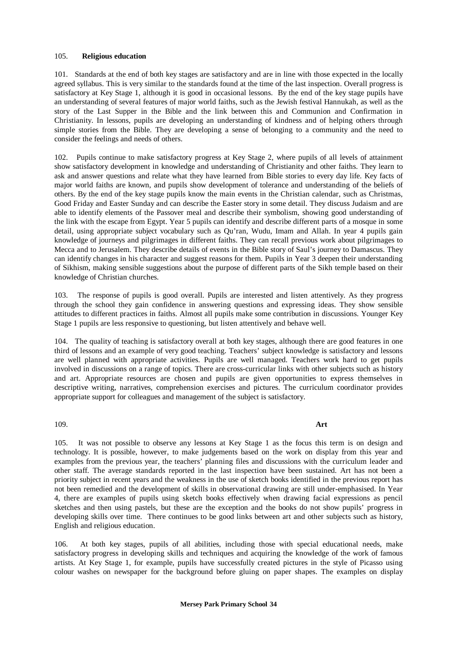#### 105. **Religious education**

101. Standards at the end of both key stages are satisfactory and are in line with those expected in the locally agreed syllabus. This is very similar to the standards found at the time of the last inspection. Overall progress is satisfactory at Key Stage 1, although it is good in occasional lessons. By the end of the key stage pupils have an understanding of several features of major world faiths, such as the Jewish festival Hannukah, as well as the story of the Last Supper in the Bible and the link between this and Communion and Confirmation in Christianity. In lessons, pupils are developing an understanding of kindness and of helping others through simple stories from the Bible. They are developing a sense of belonging to a community and the need to consider the feelings and needs of others.

102. Pupils continue to make satisfactory progress at Key Stage 2, where pupils of all levels of attainment show satisfactory development in knowledge and understanding of Christianity and other faiths. They learn to ask and answer questions and relate what they have learned from Bible stories to every day life. Key facts of major world faiths are known, and pupils show development of tolerance and understanding of the beliefs of others. By the end of the key stage pupils know the main events in the Christian calendar, such as Christmas, Good Friday and Easter Sunday and can describe the Easter story in some detail. They discuss Judaism and are able to identify elements of the Passover meal and describe their symbolism, showing good understanding of the link with the escape from Egypt. Year 5 pupils can identify and describe different parts of a mosque in some detail, using appropriate subject vocabulary such as Qu'ran, Wudu, Imam and Allah. In year 4 pupils gain knowledge of journeys and pilgrimages in different faiths. They can recall previous work about pilgrimages to Mecca and to Jerusalem. They describe details of events in the Bible story of Saul's journey to Damascus. They can identify changes in his character and suggest reasons for them. Pupils in Year 3 deepen their understanding of Sikhism, making sensible suggestions about the purpose of different parts of the Sikh temple based on their knowledge of Christian churches.

103. The response of pupils is good overall. Pupils are interested and listen attentively. As they progress through the school they gain confidence in answering questions and expressing ideas. They show sensible attitudes to different practices in faiths. Almost all pupils make some contribution in discussions. Younger Key Stage 1 pupils are less responsive to questioning, but listen attentively and behave well.

104. The quality of teaching is satisfactory overall at both key stages, although there are good features in one third of lessons and an example of very good teaching. Teachers' subject knowledge is satisfactory and lessons are well planned with appropriate activities. Pupils are well managed. Teachers work hard to get pupils involved in discussions on a range of topics. There are cross-curricular links with other subjects such as history and art. Appropriate resources are chosen and pupils are given opportunities to express themselves in descriptive writing, narratives, comprehension exercises and pictures. The curriculum coordinator provides appropriate support for colleagues and management of the subject is satisfactory.

109. **Art**

105. It was not possible to observe any lessons at Key Stage 1 as the focus this term is on design and technology. It is possible, however, to make judgements based on the work on display from this year and examples from the previous year, the teachers' planning files and discussions with the curriculum leader and other staff. The average standards reported in the last inspection have been sustained. Art has not been a priority subject in recent years and the weakness in the use of sketch books identified in the previous report has not been remedied and the development of skills in observational drawing are still under-emphasised. In Year 4, there are examples of pupils using sketch books effectively when drawing facial expressions as pencil sketches and then using pastels, but these are the exception and the books do not show pupils' progress in developing skills over time. There continues to be good links between art and other subjects such as history, English and religious education.

106. At both key stages, pupils of all abilities, including those with special educational needs, make satisfactory progress in developing skills and techniques and acquiring the knowledge of the work of famous artists. At Key Stage 1, for example, pupils have successfully created pictures in the style of Picasso using colour washes on newspaper for the background before gluing on paper shapes. The examples on display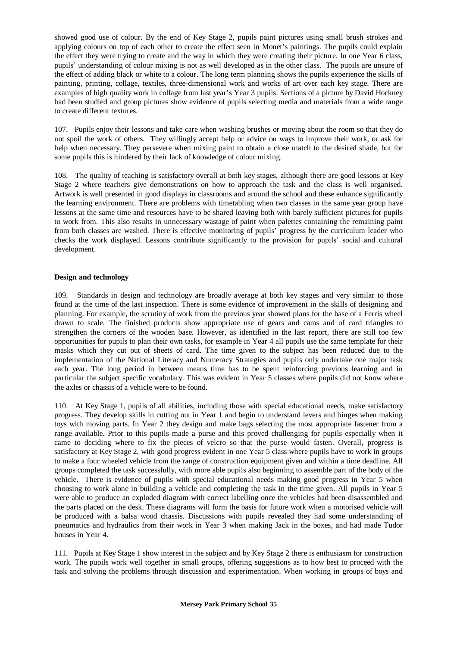showed good use of colour. By the end of Key Stage 2, pupils paint pictures using small brush strokes and applying colours on top of each other to create the effect seen in Monet's paintings. The pupils could explain the effect they were trying to create and the way in which they were creating their picture. In one Year 6 class, pupils' understanding of colour mixing is not as well developed as in the other class. The pupils are unsure of the effect of adding black or white to a colour. The long term planning shows the pupils experience the skills of painting, printing, collage, textiles, three-dimensional work and works of art over each key stage. There are examples of high quality work in collage from last year's Year 3 pupils. Sections of a picture by David Hockney had been studied and group pictures show evidence of pupils selecting media and materials from a wide range to create different textures.

107. Pupils enjoy their lessons and take care when washing brushes or moving about the room so that they do not spoil the work of others. They willingly accept help or advice on ways to improve their work, or ask for help when necessary. They persevere when mixing paint to obtain a close match to the desired shade, but for some pupils this is hindered by their lack of knowledge of colour mixing.

108. The quality of teaching is satisfactory overall at both key stages, although there are good lessons at Key Stage 2 where teachers give demonstrations on how to approach the task and the class is well organised. Artwork is well presented in good displays in classrooms and around the school and these enhance significantly the learning environment. There are problems with timetabling when two classes in the same year group have lessons at the same time and resources have to be shared leaving both with barely sufficient pictures for pupils to work from. This also results in unnecessary wastage of paint when palettes containing the remaining paint from both classes are washed. There is effective monitoring of pupils' progress by the curriculum leader who checks the work displayed. Lessons contribute significantly to the provision for pupils' social and cultural development.

## **Design and technology**

109. Standards in design and technology are broadly average at both key stages and very similar to those found at the time of the last inspection. There is some evidence of improvement in the skills of designing and planning. For example, the scrutiny of work from the previous year showed plans for the base of a Ferris wheel drawn to scale. The finished products show appropriate use of gears and cams and of card triangles to strengthen the corners of the wooden base. However, as identified in the last report, there are still too few opportunities for pupils to plan their own tasks, for example in Year 4 all pupils use the same template for their masks which they cut out of sheets of card. The time given to the subject has been reduced due to the implementation of the National Literacy and Numeracy Strategies and pupils only undertake one major task each year. The long period in between means time has to be spent reinforcing previous learning and in particular the subject specific vocabulary. This was evident in Year 5 classes where pupils did not know where the axles or chassis of a vehicle were to be found.

110. At Key Stage 1, pupils of all abilities, including those with special educational needs, make satisfactory progress. They develop skills in cutting out in Year 1 and begin to understand levers and hinges when making toys with moving parts. In Year 2 they design and make bags selecting the most appropriate fastener from a range available. Prior to this pupils made a purse and this proved challenging for pupils especially when it came to deciding where to fix the pieces of velcro so that the purse would fasten. Overall, progress is satisfactory at Key Stage 2, with good progress evident in one Year 5 class where pupils have to work in groups to make a four wheeled vehicle from the range of construction equipment given and within a time deadline. All groups completed the task successfully, with more able pupils also beginning to assemble part of the body of the vehicle. There is evidence of pupils with special educational needs making good progress in Year 5 when choosing to work alone in building a vehicle and completing the task in the time given. All pupils in Year 5 were able to produce an exploded diagram with correct labelling once the vehicles had been disassembled and the parts placed on the desk. These diagrams will form the basis for future work when a motorised vehicle will be produced with a balsa wood chassis. Discussions with pupils revealed they had some understanding of pneumatics and hydraulics from their work in Year 3 when making Jack in the boxes, and had made Tudor houses in Year 4.

111. Pupils at Key Stage 1 show interest in the subject and by Key Stage 2 there is enthusiasm for construction work. The pupils work well together in small groups, offering suggestions as to how best to proceed with the task and solving the problems through discussion and experimentation. When working in groups of boys and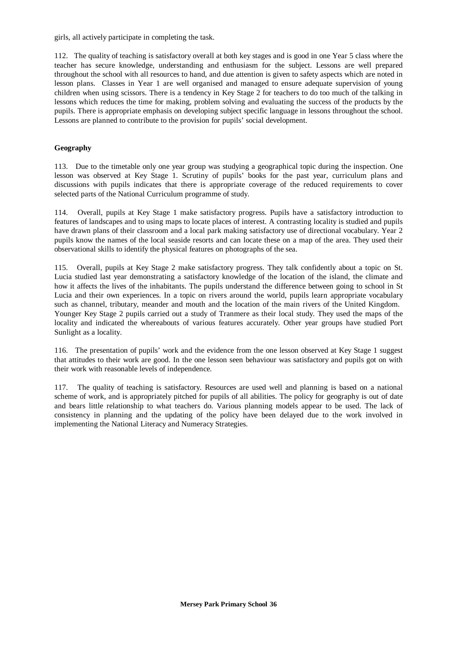girls, all actively participate in completing the task.

112. The quality of teaching is satisfactory overall at both key stages and is good in one Year 5 class where the teacher has secure knowledge, understanding and enthusiasm for the subject. Lessons are well prepared throughout the school with all resources to hand, and due attention is given to safety aspects which are noted in lesson plans. Classes in Year 1 are well organised and managed to ensure adequate supervision of young children when using scissors. There is a tendency in Key Stage 2 for teachers to do too much of the talking in lessons which reduces the time for making, problem solving and evaluating the success of the products by the pupils. There is appropriate emphasis on developing subject specific language in lessons throughout the school. Lessons are planned to contribute to the provision for pupils' social development.

## **Geography**

113. Due to the timetable only one year group was studying a geographical topic during the inspection. One lesson was observed at Key Stage 1. Scrutiny of pupils' books for the past year, curriculum plans and discussions with pupils indicates that there is appropriate coverage of the reduced requirements to cover selected parts of the National Curriculum programme of study.

114. Overall, pupils at Key Stage 1 make satisfactory progress. Pupils have a satisfactory introduction to features of landscapes and to using maps to locate places of interest. A contrasting locality is studied and pupils have drawn plans of their classroom and a local park making satisfactory use of directional vocabulary. Year 2 pupils know the names of the local seaside resorts and can locate these on a map of the area. They used their observational skills to identify the physical features on photographs of the sea.

115. Overall, pupils at Key Stage 2 make satisfactory progress. They talk confidently about a topic on St. Lucia studied last year demonstrating a satisfactory knowledge of the location of the island, the climate and how it affects the lives of the inhabitants. The pupils understand the difference between going to school in St Lucia and their own experiences. In a topic on rivers around the world, pupils learn appropriate vocabulary such as channel, tributary, meander and mouth and the location of the main rivers of the United Kingdom. Younger Key Stage 2 pupils carried out a study of Tranmere as their local study. They used the maps of the locality and indicated the whereabouts of various features accurately. Other year groups have studied Port Sunlight as a locality.

116. The presentation of pupils' work and the evidence from the one lesson observed at Key Stage 1 suggest that attitudes to their work are good. In the one lesson seen behaviour was satisfactory and pupils got on with their work with reasonable levels of independence.

117. The quality of teaching is satisfactory. Resources are used well and planning is based on a national scheme of work, and is appropriately pitched for pupils of all abilities. The policy for geography is out of date and bears little relationship to what teachers do. Various planning models appear to be used. The lack of consistency in planning and the updating of the policy have been delayed due to the work involved in implementing the National Literacy and Numeracy Strategies.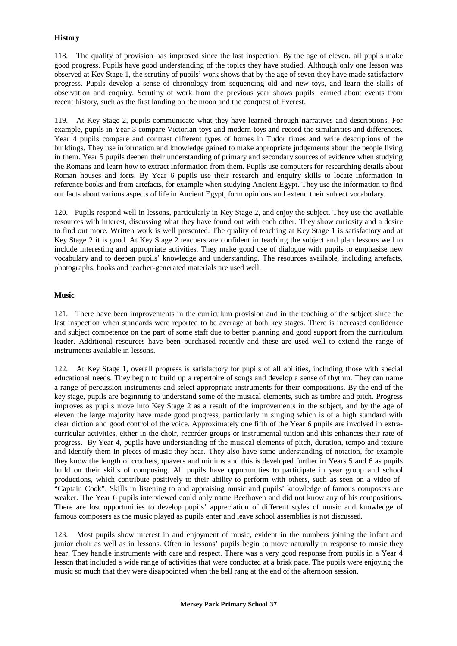## **History**

118. The quality of provision has improved since the last inspection. By the age of eleven, all pupils make good progress. Pupils have good understanding of the topics they have studied. Although only one lesson was observed at Key Stage 1, the scrutiny of pupils' work shows that by the age of seven they have made satisfactory progress. Pupils develop a sense of chronology from sequencing old and new toys, and learn the skills of observation and enquiry. Scrutiny of work from the previous year shows pupils learned about events from recent history, such as the first landing on the moon and the conquest of Everest.

119. At Key Stage 2, pupils communicate what they have learned through narratives and descriptions. For example, pupils in Year 3 compare Victorian toys and modern toys and record the similarities and differences. Year 4 pupils compare and contrast different types of homes in Tudor times and write descriptions of the buildings. They use information and knowledge gained to make appropriate judgements about the people living in them. Year 5 pupils deepen their understanding of primary and secondary sources of evidence when studying the Romans and learn how to extract information from them. Pupils use computers for researching details about Roman houses and forts. By Year 6 pupils use their research and enquiry skills to locate information in reference books and from artefacts, for example when studying Ancient Egypt. They use the information to find out facts about various aspects of life in Ancient Egypt, form opinions and extend their subject vocabulary.

120. Pupils respond well in lessons, particularly in Key Stage 2, and enjoy the subject. They use the available resources with interest, discussing what they have found out with each other. They show curiosity and a desire to find out more. Written work is well presented. The quality of teaching at Key Stage 1 is satisfactory and at Key Stage 2 it is good. At Key Stage 2 teachers are confident in teaching the subject and plan lessons well to include interesting and appropriate activities. They make good use of dialogue with pupils to emphasise new vocabulary and to deepen pupils' knowledge and understanding. The resources available, including artefacts, photographs, books and teacher-generated materials are used well.

## **Music**

121. There have been improvements in the curriculum provision and in the teaching of the subject since the last inspection when standards were reported to be average at both key stages. There is increased confidence and subject competence on the part of some staff due to better planning and good support from the curriculum leader. Additional resources have been purchased recently and these are used well to extend the range of instruments available in lessons.

122. At Key Stage 1, overall progress is satisfactory for pupils of all abilities, including those with special educational needs. They begin to build up a repertoire of songs and develop a sense of rhythm. They can name a range of percussion instruments and select appropriate instruments for their compositions. By the end of the key stage, pupils are beginning to understand some of the musical elements, such as timbre and pitch. Progress improves as pupils move into Key Stage 2 as a result of the improvements in the subject, and by the age of eleven the large majority have made good progress, particularly in singing which is of a high standard with clear diction and good control of the voice. Approximately one fifth of the Year 6 pupils are involved in extracurricular activities, either in the choir, recorder groups or instrumental tuition and this enhances their rate of progress. By Year 4, pupils have understanding of the musical elements of pitch, duration, tempo and texture and identify them in pieces of music they hear. They also have some understanding of notation, for example they know the length of crochets, quavers and minims and this is developed further in Years 5 and 6 as pupils build on their skills of composing. All pupils have opportunities to participate in year group and school productions, which contribute positively to their ability to perform with others, such as seen on a video of "Captain Cook". Skills in listening to and appraising music and pupils' knowledge of famous composers are weaker. The Year 6 pupils interviewed could only name Beethoven and did not know any of his compositions. There are lost opportunities to develop pupils' appreciation of different styles of music and knowledge of famous composers as the music played as pupils enter and leave school assemblies is not discussed.

123. Most pupils show interest in and enjoyment of music, evident in the numbers joining the infant and junior choir as well as in lessons. Often in lessons' pupils begin to move naturally in response to music they hear. They handle instruments with care and respect. There was a very good response from pupils in a Year 4 lesson that included a wide range of activities that were conducted at a brisk pace. The pupils were enjoying the music so much that they were disappointed when the bell rang at the end of the afternoon session.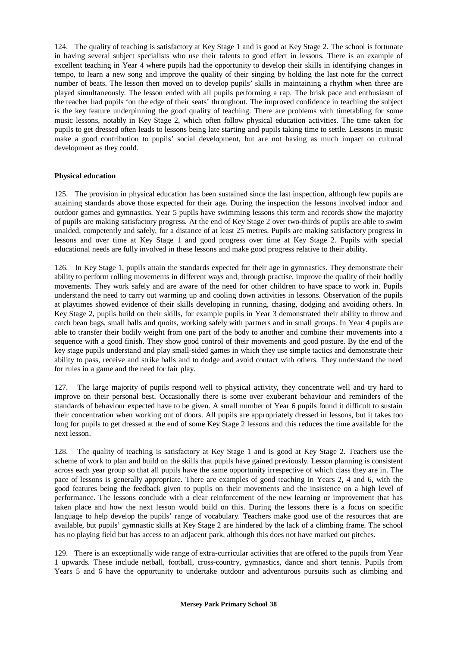124. The quality of teaching is satisfactory at Key Stage 1 and is good at Key Stage 2. The school is fortunate in having several subject specialists who use their talents to good effect in lessons. There is an example of excellent teaching in Year 4 where pupils had the opportunity to develop their skills in identifying changes in tempo, to learn a new song and improve the quality of their singing by holding the last note for the correct number of beats. The lesson then moved on to develop pupils' skills in maintaining a rhythm when three are played simultaneously. The lesson ended with all pupils performing a rap. The brisk pace and enthusiasm of the teacher had pupils 'on the edge of their seats' throughout. The improved confidence in teaching the subject is the key feature underpinning the good quality of teaching. There are problems with timetabling for some music lessons, notably in Key Stage 2, which often follow physical education activities. The time taken for pupils to get dressed often leads to lessons being late starting and pupils taking time to settle. Lessons in music make a good contribution to pupils' social development, but are not having as much impact on cultural development as they could.

## **Physical education**

125. The provision in physical education has been sustained since the last inspection, although few pupils are attaining standards above those expected for their age. During the inspection the lessons involved indoor and outdoor games and gymnastics. Year 5 pupils have swimming lessons this term and records show the majority of pupils are making satisfactory progress. At the end of Key Stage 2 over two-thirds of pupils are able to swim unaided, competently and safely, for a distance of at least 25 metres. Pupils are making satisfactory progress in lessons and over time at Key Stage 1 and good progress over time at Key Stage 2. Pupils with special educational needs are fully involved in these lessons and make good progress relative to their ability.

126. In Key Stage 1, pupils attain the standards expected for their age in gymnastics. They demonstrate their ability to perform rolling movements in different ways and, through practise, improve the quality of their bodily movements. They work safely and are aware of the need for other children to have space to work in. Pupils understand the need to carry out warming up and cooling down activities in lessons. Observation of the pupils at playtimes showed evidence of their skills developing in running, chasing, dodging and avoiding others. In Key Stage 2, pupils build on their skills, for example pupils in Year 3 demonstrated their ability to throw and catch bean bags, small balls and quoits, working safely with partners and in small groups. In Year 4 pupils are able to transfer their bodily weight from one part of the body to another and combine their movements into a sequence with a good finish. They show good control of their movements and good posture. By the end of the key stage pupils understand and play small-sided games in which they use simple tactics and demonstrate their ability to pass, receive and strike balls and to dodge and avoid contact with others. They understand the need for rules in a game and the need for fair play.

127. The large majority of pupils respond well to physical activity, they concentrate well and try hard to improve on their personal best. Occasionally there is some over exuberant behaviour and reminders of the standards of behaviour expected have to be given. A small number of Year 6 pupils found it difficult to sustain their concentration when working out of doors. All pupils are appropriately dressed in lessons, but it takes too long for pupils to get dressed at the end of some Key Stage 2 lessons and this reduces the time available for the next lesson.

128. The quality of teaching is satisfactory at Key Stage 1 and is good at Key Stage 2. Teachers use the scheme of work to plan and build on the skills that pupils have gained previously. Lesson planning is consistent across each year group so that all pupils have the same opportunity irrespective of which class they are in. The pace of lessons is generally appropriate. There are examples of good teaching in Years 2, 4 and 6, with the good features being the feedback given to pupils on their movements and the insistence on a high level of performance. The lessons conclude with a clear reinforcement of the new learning or improvement that has taken place and how the next lesson would build on this. During the lessons there is a focus on specific language to help develop the pupils' range of vocabulary. Teachers make good use of the resources that are available, but pupils' gymnastic skills at Key Stage 2 are hindered by the lack of a climbing frame. The school has no playing field but has access to an adjacent park, although this does not have marked out pitches.

129. There is an exceptionally wide range of extra-curricular activities that are offered to the pupils from Year 1 upwards. These include netball, football, cross-country, gymnastics, dance and short tennis. Pupils from Years 5 and 6 have the opportunity to undertake outdoor and adventurous pursuits such as climbing and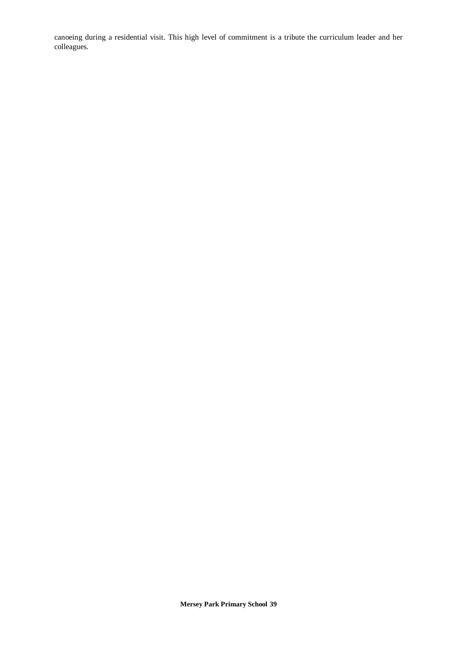canoeing during a residential visit. This high level of commitment is a tribute the curriculum leader and her colleagues.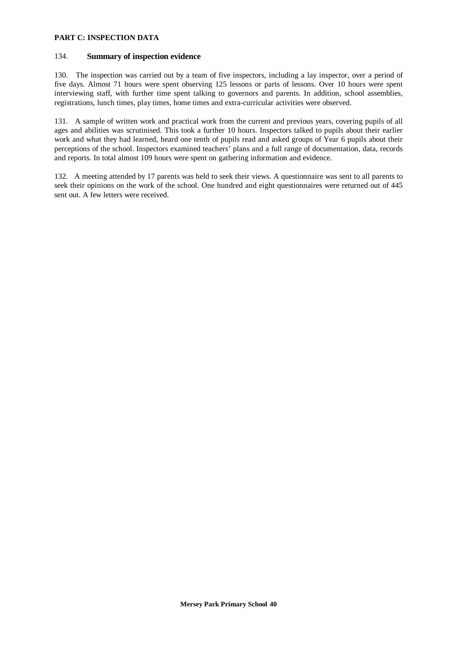## **PART C: INSPECTION DATA**

## 134. **Summary of inspection evidence**

130. The inspection was carried out by a team of five inspectors, including a lay inspector, over a period of five days. Almost 71 hours were spent observing 125 lessons or parts of lessons. Over 10 hours were spent interviewing staff, with further time spent talking to governors and parents. In addition, school assemblies, registrations, lunch times, play times, home times and extra-curricular activities were observed.

131. A sample of written work and practical work from the current and previous years, covering pupils of all ages and abilities was scrutinised. This took a further 10 hours. Inspectors talked to pupils about their earlier work and what they had learned, heard one tenth of pupils read and asked groups of Year 6 pupils about their perceptions of the school. Inspectors examined teachers' plans and a full range of documentation, data, records and reports. In total almost 109 hours were spent on gathering information and evidence.

132. A meeting attended by 17 parents was held to seek their views. A questionnaire was sent to all parents to seek their opinions on the work of the school. One hundred and eight questionnaires were returned out of 445 sent out. A few letters were received.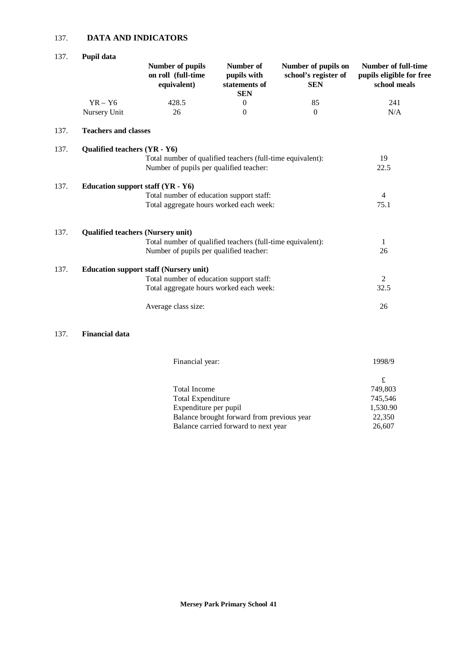## 137. **DATA AND INDICATORS**

| 137. | Pupil data                          |                                                            |                                                         |                                                           |                                                                        |
|------|-------------------------------------|------------------------------------------------------------|---------------------------------------------------------|-----------------------------------------------------------|------------------------------------------------------------------------|
|      |                                     | Number of pupils<br>on roll (full-time<br>equivalent)      | Number of<br>pupils with<br>statements of<br><b>SEN</b> | Number of pupils on<br>school's register of<br><b>SEN</b> | <b>Number of full-time</b><br>pupils eligible for free<br>school meals |
|      | $YR - Y6$                           | 428.5                                                      | $\boldsymbol{0}$                                        | 85                                                        | 241                                                                    |
|      | Nursery Unit                        | 26                                                         | $\theta$                                                | $\boldsymbol{0}$                                          | N/A                                                                    |
| 137. | <b>Teachers and classes</b>         |                                                            |                                                         |                                                           |                                                                        |
| 137. | <b>Qualified teachers (YR - Y6)</b> |                                                            |                                                         |                                                           |                                                                        |
|      |                                     | Total number of qualified teachers (full-time equivalent): |                                                         |                                                           | 19                                                                     |
|      |                                     | Number of pupils per qualified teacher:                    |                                                         |                                                           | 22.5                                                                   |
| 137. |                                     | Education support staff (YR - Y6)                          |                                                         |                                                           |                                                                        |
|      |                                     | Total number of education support staff:                   |                                                         |                                                           | $\overline{4}$                                                         |
|      |                                     | Total aggregate hours worked each week:                    |                                                         |                                                           | 75.1                                                                   |
| 137. |                                     | <b>Qualified teachers (Nursery unit)</b>                   |                                                         |                                                           |                                                                        |
|      |                                     | Total number of qualified teachers (full-time equivalent): |                                                         |                                                           | 1                                                                      |
|      |                                     | Number of pupils per qualified teacher:                    |                                                         |                                                           | 26                                                                     |
| 137. |                                     | <b>Education support staff (Nursery unit)</b>              |                                                         |                                                           |                                                                        |
|      |                                     | Total number of education support staff:                   |                                                         |                                                           | $\overline{2}$                                                         |
|      |                                     | Total aggregate hours worked each week:                    |                                                         |                                                           | 32.5                                                                   |
|      |                                     | Average class size:                                        |                                                         |                                                           | 26                                                                     |
|      |                                     |                                                            |                                                         |                                                           |                                                                        |

## 137. **Financial data**

| Financial year:                            | 1998/9   |
|--------------------------------------------|----------|
|                                            | £        |
| <b>Total Income</b>                        | 749,803  |
| <b>Total Expenditure</b>                   | 745,546  |
| Expenditure per pupil                      | 1,530.90 |
| Balance brought forward from previous year | 22,350   |
| Balance carried forward to next year       | 26,607   |